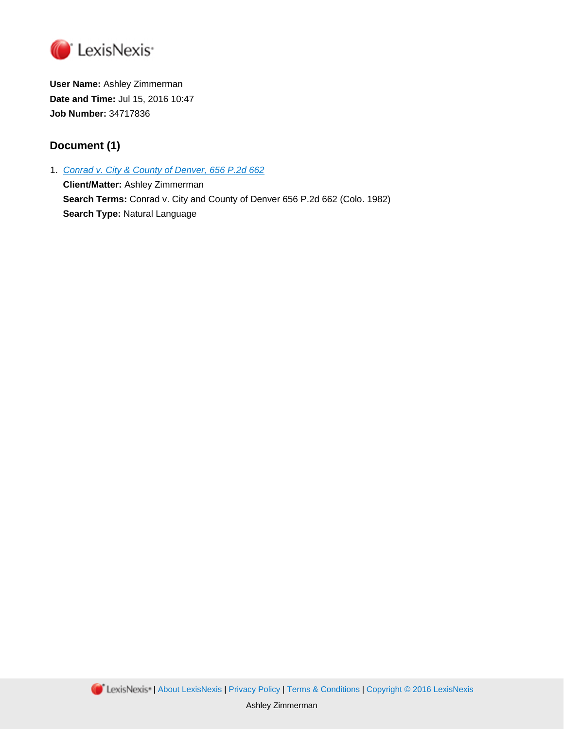

**User Name:** Ashley Zimmerman **Date and Time:** Jul 15, 2016 10:47 **Job Number:** 34717836

# **Document (1)**

1. Conrad v. City & County of [Denver,](http://advance.lexis.com/api/document?id=urn:contentItem:3RX4-17H0-003D-9126-00000-00&idtype=PID&context=1000516) 656 P.2d 662

**Client/Matter:** Ashley Zimmerman **Search Terms:** Conrad v. City and County of Denver 656 P.2d 662 (Colo. 1982) **Search Type:** Natural Language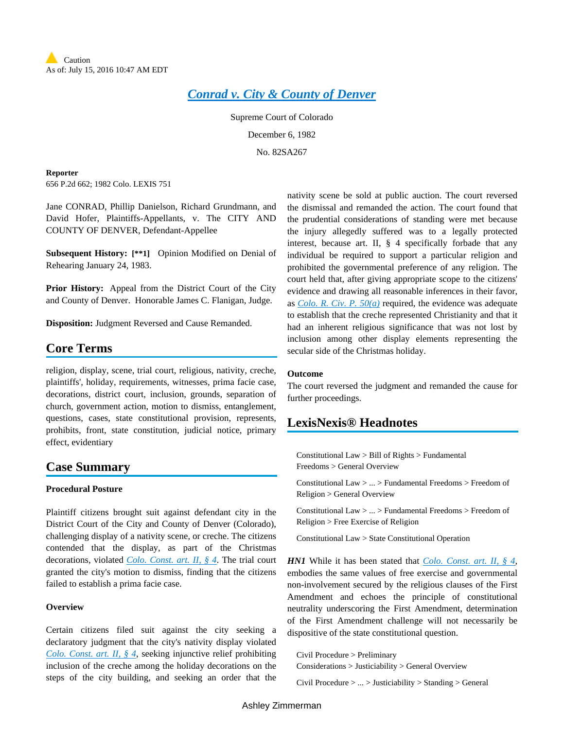## *[Conrad](http://advance.lexis.com/api/document?collection=cases&id=urn:contentItem:3RX4-17H0-003D-9126-00000-00&context=) v. City & County of Denver*

Supreme Court of Colorado

December 6, 1982

No. 82SA267

**Reporter**

656 P.2d 662; 1982 Colo. LEXIS 751

Jane CONRAD, Phillip Danielson, Richard Grundmann, and David Hofer, Plaintiffs-Appellants, v. The CITY AND COUNTY OF DENVER, Defendant-Appellee

**Subsequent History: [\*\*1]** Opinion Modified on Denial of Rehearing January 24, 1983.

**Prior History:** Appeal from the District Court of the City and County of Denver. Honorable James C. Flanigan, Judge.

**Disposition:** Judgment Reversed and Cause Remanded.

## **Core Terms**

religion, display, scene, trial court, religious, nativity, creche, plaintiffs', holiday, requirements, witnesses, prima facie case, decorations, district court, inclusion, grounds, separation of church, government action, motion to dismiss, entanglement, questions, cases, state constitutional provision, represents, prohibits, front, state constitution, judicial notice, primary effect, evidentiary

## **Case Summary**

### **Procedural Posture**

Plaintiff citizens brought suit against defendant city in the District Court of the City and County of Denver (Colorado), challenging display of a nativity scene, or creche. The citizens contended that the display, as part of the Christmas decorations, violated *Colo. [Const.](http://advance.lexis.com/api/document?collection=statutes-legislation&id=urn:contentItem:5K2D-HNH0-004D-1006-00000-00&context=) art. II, § 4*. The trial court granted the city's motion to dismiss, finding that the citizens failed to establish a prima facie case.

### **Overview**

Certain citizens filed suit against the city seeking a declaratory judgment that the city's nativity display violated *Colo. [Const.](http://advance.lexis.com/api/document?collection=statutes-legislation&id=urn:contentItem:5K2D-HNH0-004D-1006-00000-00&context=) art. II, § 4*, seeking injunctive relief prohibiting inclusion of the creche among the holiday decorations on the steps of the city building, and seeking an order that the nativity scene be sold at public auction. The court reversed the dismissal and remanded the action. The court found that the prudential considerations of standing were met because the injury allegedly suffered was to a legally protected interest, because art. II, § 4 specifically forbade that any individual be required to support a particular religion and prohibited the governmental preference of any religion. The court held that, after giving appropriate scope to the citizens' evidence and drawing all reasonable inferences in their favor, as *[Colo.](http://advance.lexis.com/api/document?collection=statutes-legislation&id=urn:contentItem:5FXT-9HB0-01JM-N1YY-00000-00&context=) R. Civ. P. 50(a)* required, the evidence was adequate to establish that the creche represented Christianity and that it had an inherent religious significance that was not lost by inclusion among other display elements representing the secular side of the Christmas holiday.

#### **Outcome**

The court reversed the judgment and remanded the cause for further proceedings.

## **LexisNexis® Headnotes**

Constitutional Law > Bill of Rights > Fundamental Freedoms > General Overview

Constitutional Law > ... > Fundamental Freedoms > Freedom of Religion > General Overview

Constitutional Law > ... > Fundamental Freedoms > Freedom of Religion > Free Exercise of Religion

Constitutional Law > State Constitutional Operation

*HN1* While it has been stated that *Colo. [Const.](http://advance.lexis.com/api/document?collection=statutes-legislation&id=urn:contentItem:5K2D-HNH0-004D-1006-00000-00&context=) art. II, § 4*, embodies the same values of free exercise and governmental non-involvement secured by the religious clauses of the First Amendment and echoes the principle of constitutional neutrality underscoring the First Amendment, determination of the First Amendment challenge will not necessarily be dispositive of the state constitutional question.

Civil Procedure > Preliminary Considerations > Justiciability > General Overview

Civil Procedure > ... > Justiciability > Standing > General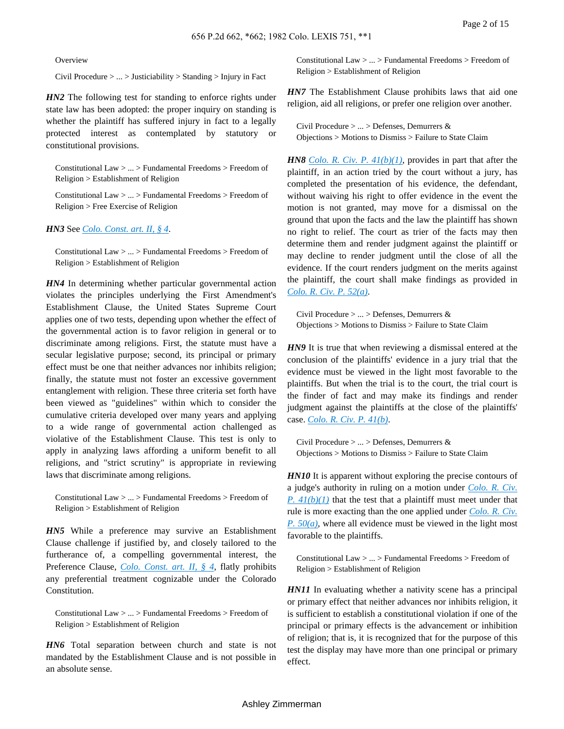**Overview** 

Civil Procedure > ... > Justiciability > Standing > Injury in Fact

*HN2* The following test for standing to enforce rights under state law has been adopted: the proper inquiry on standing is whether the plaintiff has suffered injury in fact to a legally protected interest as contemplated by statutory or constitutional provisions.

Constitutional Law > ... > Fundamental Freedoms > Freedom of Religion > Establishment of Religion

Constitutional Law > ... > Fundamental Freedoms > Freedom of Religion > Free Exercise of Religion

#### *HN3* See *Colo. [Const.](http://advance.lexis.com/api/document?collection=statutes-legislation&id=urn:contentItem:5K2D-HNH0-004D-1006-00000-00&context=) art. II, § 4*.

Constitutional Law > ... > Fundamental Freedoms > Freedom of Religion > Establishment of Religion

*HN4* In determining whether particular governmental action violates the principles underlying the First Amendment's Establishment Clause, the United States Supreme Court applies one of two tests, depending upon whether the effect of the governmental action is to favor religion in general or to discriminate among religions. First, the statute must have a secular legislative purpose; second, its principal or primary effect must be one that neither advances nor inhibits religion; finally, the statute must not foster an excessive government entanglement with religion. These three criteria set forth have been viewed as "guidelines" within which to consider the cumulative criteria developed over many years and applying to a wide range of governmental action challenged as violative of the Establishment Clause. This test is only to apply in analyzing laws affording a uniform benefit to all religions, and "strict scrutiny" is appropriate in reviewing laws that discriminate among religions.

Constitutional Law > ... > Fundamental Freedoms > Freedom of Religion > Establishment of Religion

*HN5* While a preference may survive an Establishment Clause challenge if justified by, and closely tailored to the furtherance of, a compelling governmental interest, the Preference Clause, *Colo. [Const.](http://advance.lexis.com/api/document?collection=statutes-legislation&id=urn:contentItem:5K2D-HNH0-004D-1006-00000-00&context=) art. II, § 4*, flatly prohibits any preferential treatment cognizable under the Colorado Constitution.

Constitutional Law > ... > Fundamental Freedoms > Freedom of Religion > Establishment of Religion

*HN6* Total separation between church and state is not mandated by the Establishment Clause and is not possible in an absolute sense.

Constitutional Law > ... > Fundamental Freedoms > Freedom of Religion > Establishment of Religion

*HN7* The Establishment Clause prohibits laws that aid one religion, aid all religions, or prefer one religion over another.

Civil Procedure > ... > Defenses, Demurrers & Objections > Motions to Dismiss > Failure to State Claim

*HN8 Colo. R. Civ. P. [41\(b\)\(1\)](http://advance.lexis.com/api/document?collection=statutes-legislation&id=urn:contentItem:5FXT-9HB0-01JM-N1YJ-00000-00&context=)*, provides in part that after the plaintiff, in an action tried by the court without a jury, has completed the presentation of his evidence, the defendant, without waiving his right to offer evidence in the event the motion is not granted, may move for a dismissal on the ground that upon the facts and the law the plaintiff has shown no right to relief. The court as trier of the facts may then determine them and render judgment against the plaintiff or may decline to render judgment until the close of all the evidence. If the court renders judgment on the merits against the plaintiff, the court shall make findings as provided in *[Colo.](http://advance.lexis.com/api/document?collection=statutes-legislation&id=urn:contentItem:5FXT-9HB0-01JM-N202-00000-00&context=) R. Civ. P. 52(a)*.

Civil Procedure > ... > Defenses, Demurrers & Objections > Motions to Dismiss > Failure to State Claim

*HN9* It is true that when reviewing a dismissal entered at the conclusion of the plaintiffs' evidence in a jury trial that the evidence must be viewed in the light most favorable to the plaintiffs. But when the trial is to the court, the trial court is the finder of fact and may make its findings and render judgment against the plaintiffs at the close of the plaintiffs' case. *[Colo.](http://advance.lexis.com/api/document?collection=statutes-legislation&id=urn:contentItem:5FXT-9HB0-01JM-N1YJ-00000-00&context=) R. Civ. P. 41(b)*.

Civil Procedure > ... > Defenses, Demurrers & Objections > Motions to Dismiss > Failure to State Claim

*HN10* It is apparent without exploring the precise contours of a judge's authority in ruling on a motion under *[Colo.](http://advance.lexis.com/api/document?collection=statutes-legislation&id=urn:contentItem:5FXT-9HB0-01JM-N1YJ-00000-00&context=) R. Civ. P.*  $41(b)(1)$  that the test that a plaintiff must meet under that rule is more exacting than the one applied under *[Colo.](http://advance.lexis.com/api/document?collection=statutes-legislation&id=urn:contentItem:5FXT-9HB0-01JM-N1YY-00000-00&context=) R. Civ. P. [50\(a\)](http://advance.lexis.com/api/document?collection=statutes-legislation&id=urn:contentItem:5FXT-9HB0-01JM-N1YY-00000-00&context=)*, where all evidence must be viewed in the light most favorable to the plaintiffs.

Constitutional Law > ... > Fundamental Freedoms > Freedom of Religion > Establishment of Religion

*HN11* In evaluating whether a nativity scene has a principal or primary effect that neither advances nor inhibits religion, it is sufficient to establish a constitutional violation if one of the principal or primary effects is the advancement or inhibition of religion; that is, it is recognized that for the purpose of this test the display may have more than one principal or primary effect.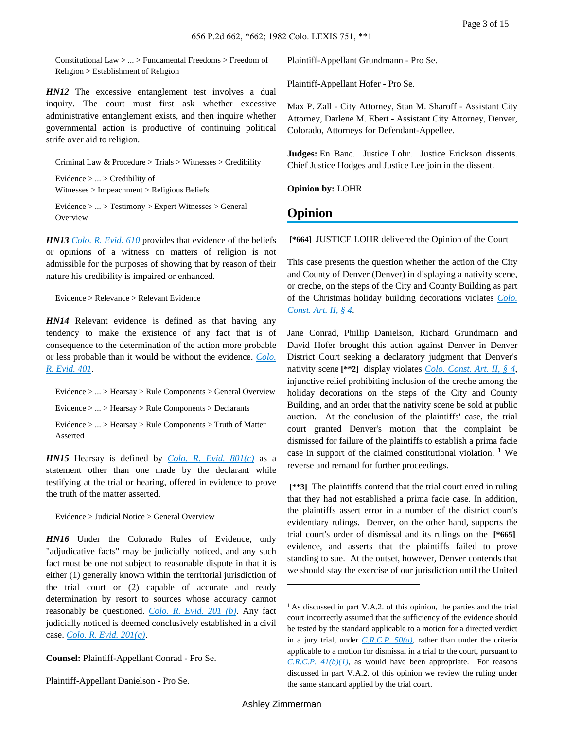Constitutional Law > ... > Fundamental Freedoms > Freedom of Religion > Establishment of Religion

*HN12* The excessive entanglement test involves a dual inquiry. The court must first ask whether excessive administrative entanglement exists, and then inquire whether governmental action is productive of continuing political strife over aid to religion.

Criminal Law & Procedure > Trials > Witnesses > Credibility Evidence > ... > Credibility of

Witnesses > Impeachment > Religious Beliefs

Evidence > ... > Testimony > Expert Witnesses > General **Overview** 

*HN13 [Colo.](http://advance.lexis.com/api/document?collection=statutes-legislation&id=urn:contentItem:5FXT-9HG0-01JM-N39P-00000-00&context=) R. Evid. 610* provides that evidence of the beliefs or opinions of a witness on matters of religion is not admissible for the purposes of showing that by reason of their nature his credibility is impaired or enhanced.

Evidence > Relevance > Relevant Evidence

*HN14* Relevant evidence is defined as that having any tendency to make the existence of any fact that is of consequence to the determination of the action more probable or less probable than it would be without the evidence. *[Colo.](http://advance.lexis.com/api/document?collection=statutes-legislation&id=urn:contentItem:5FXT-9HG0-01JM-N38X-00000-00&context=) R. [Evid.](http://advance.lexis.com/api/document?collection=statutes-legislation&id=urn:contentItem:5FXT-9HG0-01JM-N38X-00000-00&context=) 401*.

Evidence > ... > Hearsay > Rule Components > General Overview Evidence > ... > Hearsay > Rule Components > Declarants Evidence > ... > Hearsay > Rule Components > Truth of Matter Asserted

*HN15* Hearsay is defined by *Colo. R. Evid. [801\(c\)](http://advance.lexis.com/api/document?collection=statutes-legislation&id=urn:contentItem:5FXT-9HG0-01JM-N3B4-00000-00&context=)* as a statement other than one made by the declarant while testifying at the trial or hearing, offered in evidence to prove the truth of the matter asserted.

Evidence > Judicial Notice > General Overview

*HN16* Under the Colorado Rules of Evidence, only "adjudicative facts" may be judicially noticed, and any such fact must be one not subject to reasonable dispute in that it is either (1) generally known within the territorial jurisdiction of the trial court or (2) capable of accurate and ready determination by resort to sources whose accuracy cannot reasonably be questioned. *[Colo.](http://advance.lexis.com/api/document?collection=statutes-legislation&id=urn:contentItem:5FXT-9HG0-01JM-N38T-00000-00&context=) R. Evid. 201 (b)*. Any fact judicially noticed is deemed conclusively established in a civil case. *Colo. R. Evid. [201\(g\)](http://advance.lexis.com/api/document?collection=statutes-legislation&id=urn:contentItem:5FXT-9HG0-01JM-N38T-00000-00&context=)*.

**Counsel:** Plaintiff-Appellant Conrad - Pro Se.

Plaintiff-Appellant Danielson - Pro Se.

Plaintiff-Appellant Grundmann - Pro Se.

Plaintiff-Appellant Hofer - Pro Se.

Max P. Zall - City Attorney, Stan M. Sharoff - Assistant City Attorney, Darlene M. Ebert - Assistant City Attorney, Denver, Colorado, Attorneys for Defendant-Appellee.

**Judges:** En Banc. Justice Lohr. Justice Erickson dissents. Chief Justice Hodges and Justice Lee join in the dissent.

**Opinion by:** LOHR

# **Opinion**

**[\*664]** JUSTICE LOHR delivered the Opinion of the Court

This case presents the question whether the action of the City and County of Denver (Denver) in displaying a nativity scene, or creche, on the steps of the City and County Building as part of the Christmas holiday building decorations violates *[Colo.](http://advance.lexis.com/api/document?collection=statutes-legislation&id=urn:contentItem:5K2D-HNH0-004D-1006-00000-00&context=) [Const.](http://advance.lexis.com/api/document?collection=statutes-legislation&id=urn:contentItem:5K2D-HNH0-004D-1006-00000-00&context=) Art. II, § 4*.

Jane Conrad, Phillip Danielson, Richard Grundmann and David Hofer brought this action against Denver in Denver District Court seeking a declaratory judgment that Denver's nativity scene **[\*\*2]** display violates *Colo. [Const.](http://advance.lexis.com/api/document?collection=statutes-legislation&id=urn:contentItem:5K2D-HNH0-004D-1006-00000-00&context=) Art. II, § 4*, injunctive relief prohibiting inclusion of the creche among the holiday decorations on the steps of the City and County Building, and an order that the nativity scene be sold at public auction. At the conclusion of the plaintiffs' case, the trial court granted Denver's motion that the complaint be dismissed for failure of the plaintiffs to establish a prima facie case in support of the claimed constitutional violation.  $1$  We reverse and remand for further proceedings.

**[\*\*3]** The plaintiffs contend that the trial court erred in ruling that they had not established a prima facie case. In addition, the plaintiffs assert error in a number of the district court's evidentiary rulings. Denver, on the other hand, supports the trial court's order of dismissal and its rulings on the **[\*665]** evidence, and asserts that the plaintiffs failed to prove standing to sue. At the outset, however, Denver contends that we should stay the exercise of our jurisdiction until the United

<sup>&</sup>lt;sup>1</sup> As discussed in part V.A.2. of this opinion, the parties and the trial court incorrectly assumed that the sufficiency of the evidence should be tested by the standard applicable to a motion for a directed verdict in a jury trial, under *[C.R.C.P.](http://advance.lexis.com/api/document?collection=statutes-legislation&id=urn:contentItem:5FXT-9HB0-01JM-N1YY-00000-00&context=) 50(a)*, rather than under the criteria applicable to a motion for dismissal in a trial to the court, pursuant to *[C.R.C.P.](http://advance.lexis.com/api/document?collection=statutes-legislation&id=urn:contentItem:5FXT-9HB0-01JM-N1YJ-00000-00&context=) 41(b)(1)*, as would have been appropriate. For reasons discussed in part V.A.2. of this opinion we review the ruling under the same standard applied by the trial court.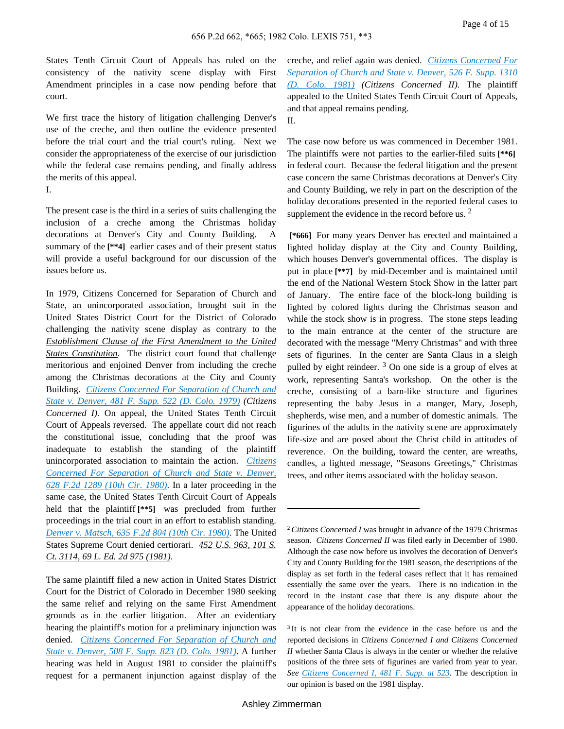States Tenth Circuit Court of Appeals has ruled on the consistency of the nativity scene display with First Amendment principles in a case now pending before that court.

We first trace the history of litigation challenging Denver's use of the creche, and then outline the evidence presented before the trial court and the trial court's ruling. Next we consider the appropriateness of the exercise of our jurisdiction while the federal case remains pending, and finally address the merits of this appeal.

I.

The present case is the third in a series of suits challenging the inclusion of a creche among the Christmas holiday decorations at Denver's City and County Building. A summary of the **[\*\*4]** earlier cases and of their present status will provide a useful background for our discussion of the issues before us.

In 1979, Citizens Concerned for Separation of Church and State, an unincorporated association, brought suit in the United States District Court for the District of Colorado challenging the nativity scene display as contrary to the *Establishment Clause of the First Amendment to the United States Constitution*. The district court found that challenge meritorious and enjoined Denver from including the creche among the Christmas decorations at the City and County Building. *Citizens Concerned For [Separation](http://advance.lexis.com/api/document?collection=cases&id=urn:contentItem:3S4N-7GH0-0054-70H1-00000-00&context=) of Church and State v. [Denver,](http://advance.lexis.com/api/document?collection=cases&id=urn:contentItem:3S4N-7GH0-0054-70H1-00000-00&context=) 481 F. Supp. 522 (D. Colo. 1979) (Citizens Concerned I).* On appeal, the United States Tenth Circuit Court of Appeals reversed. The appellate court did not reach the constitutional issue, concluding that the proof was inadequate to establish the standing of the plaintiff unincorporated association to maintain the action. *[Citizens](http://advance.lexis.com/api/document?collection=cases&id=urn:contentItem:3S4X-9NC0-0039-W26G-00000-00&context=) Concerned For [Separation](http://advance.lexis.com/api/document?collection=cases&id=urn:contentItem:3S4X-9NC0-0039-W26G-00000-00&context=) of Church and State v. Denver, 628 F.2d 1289 (10th Cir. [1980\)](http://advance.lexis.com/api/document?collection=cases&id=urn:contentItem:3S4X-9NC0-0039-W26G-00000-00&context=)*. In a later proceeding in the same case, the United States Tenth Circuit Court of Appeals held that the plaintiff **[\*\*5]** was precluded from further proceedings in the trial court in an effort to establish standing. *Denver v. [Matsch,](http://advance.lexis.com/api/document?collection=cases&id=urn:contentItem:3S4X-7400-0039-W453-00000-00&context=) 635 F.2d 804 (10th Cir. 1980)*. The United States Supreme Court denied certiorari. *452 U.S. 963, 101 S. Ct. 3114, 69 L. Ed. 2d 975 (1981)*.

The same plaintiff filed a new action in United States District Court for the District of Colorado in December 1980 seeking the same relief and relying on the same First Amendment grounds as in the earlier litigation. After an evidentiary hearing the plaintiff's motion for a preliminary injunction was denied. *Citizens Concerned For [Separation](http://advance.lexis.com/api/document?collection=cases&id=urn:contentItem:3S4N-TKP0-0039-S0YK-00000-00&context=) of Church and State v. [Denver,](http://advance.lexis.com/api/document?collection=cases&id=urn:contentItem:3S4N-TKP0-0039-S0YK-00000-00&context=) 508 F. Supp. 823 (D. Colo. 1981)*. A further hearing was held in August 1981 to consider the plaintiff's request for a permanent injunction against display of the

creche, and relief again was denied. *Citizens [Concerned](http://advance.lexis.com/api/document?collection=cases&id=urn:contentItem:3S4N-JM00-0039-S27F-00000-00&context=) For [Separation](http://advance.lexis.com/api/document?collection=cases&id=urn:contentItem:3S4N-JM00-0039-S27F-00000-00&context=) of Church and State v. Denver, 526 F. Supp. 1310 (D. Colo. [1981\)](http://advance.lexis.com/api/document?collection=cases&id=urn:contentItem:3S4N-JM00-0039-S27F-00000-00&context=) (Citizens Concerned II).* The plaintiff appealed to the United States Tenth Circuit Court of Appeals, and that appeal remains pending. II.

The case now before us was commenced in December 1981. The plaintiffs were not parties to the earlier-filed suits **[\*\*6]** in federal court. Because the federal litigation and the present case concern the same Christmas decorations at Denver's City and County Building, we rely in part on the description of the holiday decorations presented in the reported federal cases to supplement the evidence in the record before us.  $2^{\circ}$ 

**[\*666]** For many years Denver has erected and maintained a lighted holiday display at the City and County Building, which houses Denver's governmental offices. The display is put in place **[\*\*7]** by mid-December and is maintained until the end of the National Western Stock Show in the latter part of January. The entire face of the block-long building is lighted by colored lights during the Christmas season and while the stock show is in progress. The stone steps leading to the main entrance at the center of the structure are decorated with the message "Merry Christmas" and with three sets of figurines. In the center are Santa Claus in a sleigh pulled by eight reindeer.  $3$  On one side is a group of elves at work, representing Santa's workshop. On the other is the creche, consisting of a barn-like structure and figurines representing the baby Jesus in a manger, Mary, Joseph, shepherds, wise men, and a number of domestic animals. The figurines of the adults in the nativity scene are approximately life-size and are posed about the Christ child in attitudes of reverence. On the building, toward the center, are wreaths, candles, a lighted message, "Seasons Greetings," Christmas trees, and other items associated with the holiday season.

<sup>2</sup>*Citizens Concerned I* was brought in advance of the 1979 Christmas season. *Citizens Concerned II* was filed early in December of 1980. Although the case now before us involves the decoration of Denver's City and County Building for the 1981 season, the descriptions of the display as set forth in the federal cases reflect that it has remained essentially the same over the years. There is no indication in the record in the instant case that there is any dispute about the appearance of the holiday decorations.

<sup>&</sup>lt;sup>3</sup>It is not clear from the evidence in the case before us and the reported decisions in *Citizens Concerned I and Citizens Concerned II* whether Santa Claus is always in the center or whether the relative positions of the three sets of figurines are varied from year to year. *See Citizens [Concerned](http://advance.lexis.com/api/document?collection=cases&id=urn:contentItem:3S4N-7GH0-0054-70H1-00000-00&context=) I, 481 F. Supp. at 523*. The description in our opinion is based on the 1981 display.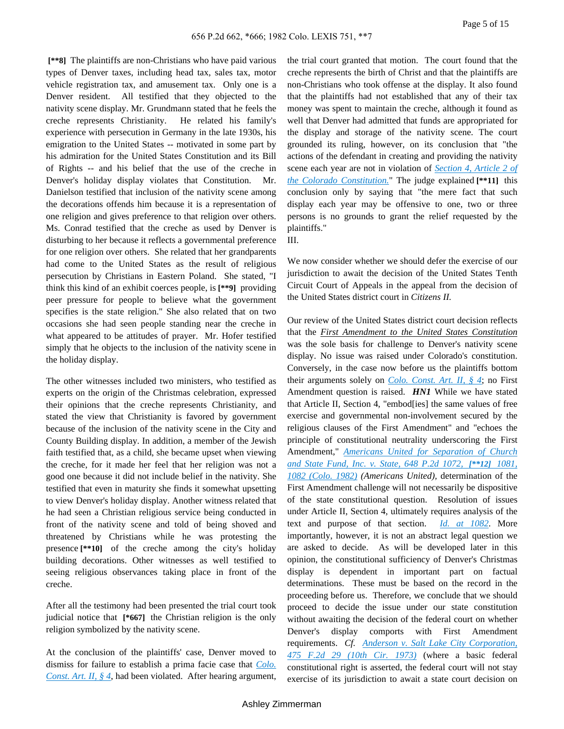**[\*\*8]** The plaintiffs are non-Christians who have paid various types of Denver taxes, including head tax, sales tax, motor vehicle registration tax, and amusement tax. Only one is a Denver resident. All testified that they objected to the nativity scene display. Mr. Grundmann stated that he feels the creche represents Christianity. He related his family's experience with persecution in Germany in the late 1930s, his emigration to the United States -- motivated in some part by his admiration for the United States Constitution and its Bill of Rights -- and his belief that the use of the creche in Denver's holiday display violates that Constitution. Mr. Danielson testified that inclusion of the nativity scene among the decorations offends him because it is a representation of one religion and gives preference to that religion over others. Ms. Conrad testified that the creche as used by Denver is disturbing to her because it reflects a governmental preference for one religion over others. She related that her grandparents had come to the United States as the result of religious persecution by Christians in Eastern Poland. She stated, "I think this kind of an exhibit coerces people, is **[\*\*9]** providing peer pressure for people to believe what the government specifies is the state religion." She also related that on two occasions she had seen people standing near the creche in what appeared to be attitudes of prayer. Mr. Hofer testified simply that he objects to the inclusion of the nativity scene in the holiday display.

The other witnesses included two ministers, who testified as experts on the origin of the Christmas celebration, expressed their opinions that the creche represents Christianity, and stated the view that Christianity is favored by government because of the inclusion of the nativity scene in the City and County Building display. In addition, a member of the Jewish faith testified that, as a child, she became upset when viewing the creche, for it made her feel that her religion was not a good one because it did not include belief in the nativity. She testified that even in maturity she finds it somewhat upsetting to view Denver's holiday display. Another witness related that he had seen a Christian religious service being conducted in front of the nativity scene and told of being shoved and threatened by Christians while he was protesting the presence **[\*\*10]** of the creche among the city's holiday building decorations. Other witnesses as well testified to seeing religious observances taking place in front of the creche.

After all the testimony had been presented the trial court took judicial notice that **[\*667]** the Christian religion is the only religion symbolized by the nativity scene.

At the conclusion of the plaintiffs' case, Denver moved to dismiss for failure to establish a prima facie case that *[Colo.](http://advance.lexis.com/api/document?collection=statutes-legislation&id=urn:contentItem:5K2D-HNH0-004D-1006-00000-00&context=) [Const.](http://advance.lexis.com/api/document?collection=statutes-legislation&id=urn:contentItem:5K2D-HNH0-004D-1006-00000-00&context=) Art. II, § 4*, had been violated. After hearing argument,

the trial court granted that motion. The court found that the creche represents the birth of Christ and that the plaintiffs are non-Christians who took offense at the display. It also found that the plaintiffs had not established that any of their tax money was spent to maintain the creche, although it found as well that Denver had admitted that funds are appropriated for the display and storage of the nativity scene. The court grounded its ruling, however, on its conclusion that "the actions of the defendant in creating and providing the nativity scene each year are not in violation of *[Section](http://advance.lexis.com/api/document?collection=statutes-legislation&id=urn:contentItem:5K2D-HNH0-004D-1006-00000-00&context=) 4, Article 2 of the Colorado [Constitution.](http://advance.lexis.com/api/document?collection=statutes-legislation&id=urn:contentItem:5K2D-HNH0-004D-1006-00000-00&context=)*" The judge explained **[\*\*11]** this conclusion only by saying that "the mere fact that such display each year may be offensive to one, two or three persons is no grounds to grant the relief requested by the plaintiffs." III.

We now consider whether we should defer the exercise of our jurisdiction to await the decision of the United States Tenth Circuit Court of Appeals in the appeal from the decision of the United States district court in *Citizens II.*

Our review of the United States district court decision reflects that the *First Amendment to the United States Constitution* was the sole basis for challenge to Denver's nativity scene display. No issue was raised under Colorado's constitution. Conversely, in the case now before us the plaintiffs bottom their arguments solely on *Colo. [Const.](http://advance.lexis.com/api/document?collection=statutes-legislation&id=urn:contentItem:5K2D-HNH0-004D-1006-00000-00&context=) Art. II, § 4*; no First Amendment question is raised. *HN1* While we have stated that Article II, Section 4, "embod[ies] the same values of free exercise and governmental non-involvement secured by the religious clauses of the First Amendment" and "echoes the principle of constitutional neutrality underscoring the First Amendment," *Americans United for [Separation](http://advance.lexis.com/api/document?collection=cases&id=urn:contentItem:3RX4-1880-003D-9160-00000-00&context=) of Church and State [Fund,](http://advance.lexis.com/api/document?collection=cases&id=urn:contentItem:3RX4-1880-003D-9160-00000-00&context=) Inc. v. State, 648 P.2d 1072, [\*\*12] 1081, 1082 [\(Colo.](http://advance.lexis.com/api/document?collection=cases&id=urn:contentItem:3RX4-1880-003D-9160-00000-00&context=) 1982) (Americans United),* determination of the First Amendment challenge will not necessarily be dispositive of the state constitutional question. Resolution of issues under Article II, Section 4, ultimately requires analysis of the text and purpose of that section. *Id. at [1082](http://advance.lexis.com/api/document?collection=cases&id=urn:contentItem:3RX4-1880-003D-9160-00000-00&context=)*. More importantly, however, it is not an abstract legal question we are asked to decide. As will be developed later in this opinion, the constitutional sufficiency of Denver's Christmas display is dependent in important part on factual determinations. These must be based on the record in the proceeding before us. Therefore, we conclude that we should proceed to decide the issue under our state constitution without awaiting the decision of the federal court on whether Denver's display comports with First Amendment requirements. *Cf. Anderson v. Salt Lake City [Corporation,](http://advance.lexis.com/api/document?collection=cases&id=urn:contentItem:3S4X-1K40-0039-X35J-00000-00&context=) 475 F.2d 29 (10th Cir. [1973\)](http://advance.lexis.com/api/document?collection=cases&id=urn:contentItem:3S4X-1K40-0039-X35J-00000-00&context=)* (where a basic federal constitutional right is asserted, the federal court will not stay exercise of its jurisdiction to await a state court decision on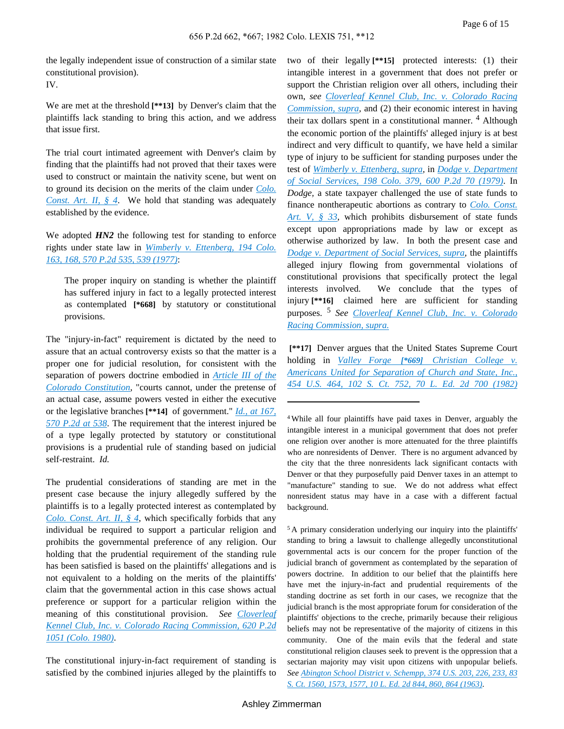the legally independent issue of construction of a similar state constitutional provision). IV.

We are met at the threshold **[\*\*13]** by Denver's claim that the plaintiffs lack standing to bring this action, and we address that issue first.

The trial court intimated agreement with Denver's claim by finding that the plaintiffs had not proved that their taxes were used to construct or maintain the nativity scene, but went on to ground its decision on the merits of the claim under *[Colo.](http://advance.lexis.com/api/document?collection=statutes-legislation&id=urn:contentItem:5K2D-HNH0-004D-1006-00000-00&context=) [Const.](http://advance.lexis.com/api/document?collection=statutes-legislation&id=urn:contentItem:5K2D-HNH0-004D-1006-00000-00&context=) Art. II, § 4*. We hold that standing was adequately established by the evidence.

We adopted  $HN2$  the following test for standing to enforce rights under state law in *Wimberly v. [Ettenberg,](http://advance.lexis.com/api/document?collection=cases&id=urn:contentItem:3RX4-1HF0-003D-92TV-00000-00&context=) 194 Colo. 163, 168, 570 P.2d 535, 539 [\(1977\)](http://advance.lexis.com/api/document?collection=cases&id=urn:contentItem:3RX4-1HF0-003D-92TV-00000-00&context=)*:

The proper inquiry on standing is whether the plaintiff has suffered injury in fact to a legally protected interest as contemplated **[\*668]** by statutory or constitutional provisions.

The "injury-in-fact" requirement is dictated by the need to assure that an actual controversy exists so that the matter is a proper one for judicial resolution, for consistent with the separation of powers doctrine embodied in *[Article](http://advance.lexis.com/api/document?collection=statutes-legislation&id=urn:contentItem:5K2D-HNJ0-004D-1019-00000-00&context=) III of the Colorado [Constitution](http://advance.lexis.com/api/document?collection=statutes-legislation&id=urn:contentItem:5K2D-HNJ0-004D-1019-00000-00&context=)*, "courts cannot, under the pretense of an actual case, assume powers vested in either the executive or the legislative branches **[\*\*14]** of government." *Id., at [167,](http://advance.lexis.com/api/document?collection=cases&id=urn:contentItem:3RX4-1HF0-003D-92TV-00000-00&context=) 570 [P.2d](http://advance.lexis.com/api/document?collection=cases&id=urn:contentItem:3RX4-1HF0-003D-92TV-00000-00&context=) at 538*. The requirement that the interest injured be of a type legally protected by statutory or constitutional provisions is a prudential rule of standing based on judicial self-restraint. *Id.*

The prudential considerations of standing are met in the present case because the injury allegedly suffered by the plaintiffs is to a legally protected interest as contemplated by *Colo. [Const.](http://advance.lexis.com/api/document?collection=statutes-legislation&id=urn:contentItem:5K2D-HNH0-004D-1006-00000-00&context=) Art. II, § 4*, which specifically forbids that any individual be required to support a particular religion and prohibits the governmental preference of any religion. Our holding that the prudential requirement of the standing rule has been satisfied is based on the plaintiffs' allegations and is not equivalent to a holding on the merits of the plaintiffs' claim that the governmental action in this case shows actual preference or support for a particular religion within the meaning of this constitutional provision. *See [Cloverleaf](http://advance.lexis.com/api/document?collection=cases&id=urn:contentItem:3RX4-1C00-003D-91R2-00000-00&context=) Kennel Club, Inc. v. Colorado Racing [Commission,](http://advance.lexis.com/api/document?collection=cases&id=urn:contentItem:3RX4-1C00-003D-91R2-00000-00&context=) 620 P.2d 1051 [\(Colo.](http://advance.lexis.com/api/document?collection=cases&id=urn:contentItem:3RX4-1C00-003D-91R2-00000-00&context=) 1980)*.

The constitutional injury-in-fact requirement of standing is satisfied by the combined injuries alleged by the plaintiffs to two of their legally **[\*\*15]** protected interests: (1) their intangible interest in a government that does not prefer or support the Christian religion over all others, including their own, *see [Cloverleaf](http://advance.lexis.com/api/document?collection=cases&id=urn:contentItem:3RX4-1C00-003D-91R2-00000-00&context=) Kennel Club, Inc. v. Colorado Racing [Commission,](http://advance.lexis.com/api/document?collection=cases&id=urn:contentItem:3RX4-1C00-003D-91R2-00000-00&context=) supra,* and (2) their economic interest in having their tax dollars spent in a constitutional manner. <sup>4</sup> Although the economic portion of the plaintiffs' alleged injury is at best indirect and very difficult to quantify, we have held a similar type of injury to be sufficient for standing purposes under the test of *Wimberly v. [Ettenberg,](http://advance.lexis.com/api/document?collection=cases&id=urn:contentItem:3RX4-1HF0-003D-92TV-00000-00&context=) supra,* in *Dodge v. [Department](http://advance.lexis.com/api/document?collection=cases&id=urn:contentItem:3RX4-1DK0-003D-9249-00000-00&context=) of Social [Services,](http://advance.lexis.com/api/document?collection=cases&id=urn:contentItem:3RX4-1DK0-003D-9249-00000-00&context=) 198 Colo. 379, 600 P.2d 70 (1979)*. In *Dodge,* a state taxpayer challenged the use of state funds to finance nontherapeutic abortions as contrary to *Colo. [Const.](http://advance.lexis.com/api/document?collection=statutes-legislation&id=urn:contentItem:5K2D-HNK0-004D-103D-00000-00&context=) [Art.](http://advance.lexis.com/api/document?collection=statutes-legislation&id=urn:contentItem:5K2D-HNK0-004D-103D-00000-00&context=) V, § 33*, which prohibits disbursement of state funds except upon appropriations made by law or except as otherwise authorized by law. In both the present case and *Dodge v. [Department](http://advance.lexis.com/api/document?collection=cases&id=urn:contentItem:3RX4-1DK0-003D-9249-00000-00&context=) of Social Services, supra,* the plaintiffs alleged injury flowing from governmental violations of constitutional provisions that specifically protect the legal interests involved. We conclude that the types of injury **[\*\*16]** claimed here are sufficient for standing purposes. <sup>5</sup> *See [Cloverleaf](http://advance.lexis.com/api/document?collection=cases&id=urn:contentItem:3RX4-1C00-003D-91R2-00000-00&context=) Kennel Club, Inc. v. Colorado Racing [Commission,](http://advance.lexis.com/api/document?collection=cases&id=urn:contentItem:3RX4-1C00-003D-91R2-00000-00&context=) supra.*

**[\*\*17]** Denver argues that the United States Supreme Court holding in *Valley Forge [\*669] [Christian](http://advance.lexis.com/api/document?collection=cases&id=urn:contentItem:3S4X-5W90-003B-S2CD-00000-00&context=) College v. Americans United for [Separation](http://advance.lexis.com/api/document?collection=cases&id=urn:contentItem:3S4X-5W90-003B-S2CD-00000-00&context=) of Church and State, Inc., 454 U.S. 464, 102 S. Ct. 752, 70 L. Ed. 2d 700 [\(1982\)](http://advance.lexis.com/api/document?collection=cases&id=urn:contentItem:3S4X-5W90-003B-S2CD-00000-00&context=)*

<sup>5</sup> A primary consideration underlying our inquiry into the plaintiffs' standing to bring a lawsuit to challenge allegedly unconstitutional governmental acts is our concern for the proper function of the judicial branch of government as contemplated by the separation of powers doctrine. In addition to our belief that the plaintiffs here have met the injury-in-fact and prudential requirements of the standing doctrine as set forth in our cases, we recognize that the judicial branch is the most appropriate forum for consideration of the plaintiffs' objections to the creche, primarily because their religious beliefs may not be representative of the majority of citizens in this community. One of the main evils that the federal and state constitutional religion clauses seek to prevent is the oppression that a sectarian majority may visit upon citizens with unpopular beliefs. *See Abington School District v. [Schempp,](http://advance.lexis.com/api/document?collection=cases&id=urn:contentItem:3S4X-H2K0-003B-S25D-00000-00&context=) 374 U.S. 203, 226, 233, 83 S. Ct. 1560, 1573, 1577, 10 L. Ed. 2d 844, 860, 864 [\(1963\)](http://advance.lexis.com/api/document?collection=cases&id=urn:contentItem:3S4X-H2K0-003B-S25D-00000-00&context=)*.

<sup>4</sup> While all four plaintiffs have paid taxes in Denver, arguably the intangible interest in a municipal government that does not prefer one religion over another is more attenuated for the three plaintiffs who are nonresidents of Denver. There is no argument advanced by the city that the three nonresidents lack significant contacts with Denver or that they purposefully paid Denver taxes in an attempt to "manufacture" standing to sue. We do not address what effect nonresident status may have in a case with a different factual background.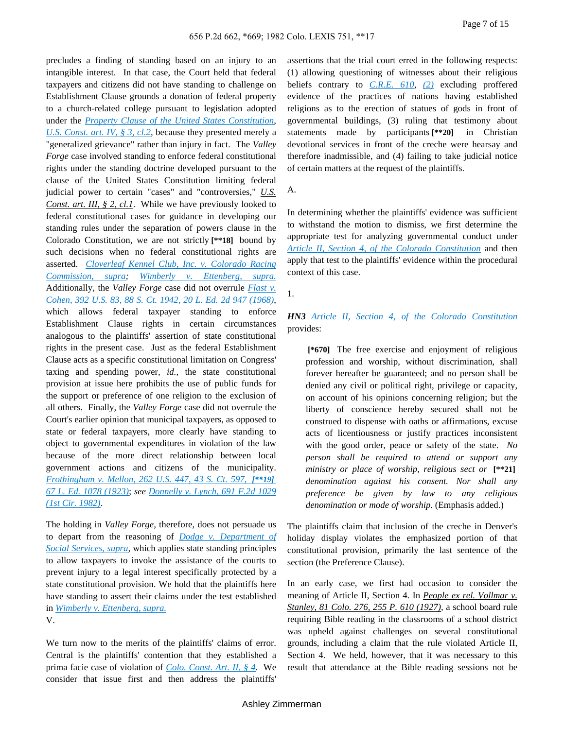precludes a finding of standing based on an injury to an intangible interest. In that case, the Court held that federal taxpayers and citizens did not have standing to challenge on Establishment Clause grounds a donation of federal property to a church-related college pursuant to legislation adopted under the *Property Clause of the United States [Constitution](http://advance.lexis.com/api/document?collection=statutes-legislation&id=urn:contentItem:4YF7-GJ21-NRF4-41F1-00000-00&context=)*, *U.S. [Const.](http://advance.lexis.com/api/document?collection=statutes-legislation&id=urn:contentItem:4YF7-GJ21-NRF4-41F1-00000-00&context=) art. IV, § 3, cl.2*, because they presented merely a "generalized grievance" rather than injury in fact. The *Valley Forge* case involved standing to enforce federal constitutional rights under the standing doctrine developed pursuant to the clause of the United States Constitution limiting federal judicial power to certain "cases" and "controversies," *U.S. Const. art. III, § 2, cl.1*. While we have previously looked to federal constitutional cases for guidance in developing our standing rules under the separation of powers clause in the Colorado Constitution, we are not strictly **[\*\*18]** bound by such decisions when no federal constitutional rights are asserted. *[Cloverleaf](http://advance.lexis.com/api/document?collection=cases&id=urn:contentItem:3RX4-1C00-003D-91R2-00000-00&context=) Kennel Club, Inc. v. Colorado Racing [Commission,](http://advance.lexis.com/api/document?collection=cases&id=urn:contentItem:3RX4-1C00-003D-91R2-00000-00&context=) supra; Wimberly v. [Ettenberg,](http://advance.lexis.com/api/document?collection=cases&id=urn:contentItem:3RX4-1HF0-003D-92TV-00000-00&context=) supra.* Additionally, the *Valley Forge* case did not overrule *[Flast](http://advance.lexis.com/api/document?collection=cases&id=urn:contentItem:3S4X-FHY0-003B-S051-00000-00&context=) v. [Cohen,](http://advance.lexis.com/api/document?collection=cases&id=urn:contentItem:3S4X-FHY0-003B-S051-00000-00&context=) 392 U.S. 83, 88 S. Ct. 1942, 20 L. Ed. 2d 947 (1968)*, which allows federal taxpayer standing to enforce Establishment Clause rights in certain circumstances analogous to the plaintiffs' assertion of state constitutional rights in the present case. Just as the federal Establishment Clause acts as a specific constitutional limitation on Congress' taxing and spending power, *id.,* the state constitutional provision at issue here prohibits the use of public funds for the support or preference of one religion to the exclusion of all others. Finally, the *Valley Forge* case did not overrule the Court's earlier opinion that municipal taxpayers, as opposed to state or federal taxpayers, more clearly have standing to object to governmental expenditures in violation of the law because of the more direct relationship between local government actions and citizens of the municipality. *[Frothingham](http://advance.lexis.com/api/document?collection=cases&id=urn:contentItem:3S4X-3GG0-003B-H1G8-00000-00&context=) v. Mellon, 262 U.S. 447, 43 S. Ct. 597, [\*\*19] 67 L. Ed. 1078 [\(1923\)](http://advance.lexis.com/api/document?collection=cases&id=urn:contentItem:3S4X-3GG0-003B-H1G8-00000-00&context=)*; *see [Donnelly](http://advance.lexis.com/api/document?collection=cases&id=urn:contentItem:3S4X-1J60-003B-G1VB-00000-00&context=) v. Lynch, 691 F.2d 1029 (1st Cir. [1982\)](http://advance.lexis.com/api/document?collection=cases&id=urn:contentItem:3S4X-1J60-003B-G1VB-00000-00&context=)*.

The holding in *Valley Forge,* therefore, does not persuade us to depart from the reasoning of *Dodge v. [Department](http://advance.lexis.com/api/document?collection=cases&id=urn:contentItem:3RX4-1DK0-003D-9249-00000-00&context=) of Social [Services,](http://advance.lexis.com/api/document?collection=cases&id=urn:contentItem:3RX4-1DK0-003D-9249-00000-00&context=) supra,* which applies state standing principles to allow taxpayers to invoke the assistance of the courts to prevent injury to a legal interest specifically protected by a state constitutional provision. We hold that the plaintiffs here have standing to assert their claims under the test established in *Wimberly v. [Ettenberg,](http://advance.lexis.com/api/document?collection=cases&id=urn:contentItem:3RX4-1HF0-003D-92TV-00000-00&context=) supra.* V.

We turn now to the merits of the plaintiffs' claims of error. Central is the plaintiffs' contention that they established a prima facie case of violation of *Colo. [Const.](http://advance.lexis.com/api/document?collection=statutes-legislation&id=urn:contentItem:5K2D-HNH0-004D-1006-00000-00&context=) Art. II, § 4*. We consider that issue first and then address the plaintiffs'

assertions that the trial court erred in the following respects: (1) allowing questioning of witnesses about their religious beliefs contrary to *[C.R.E.](http://advance.lexis.com/api/document?collection=statutes-legislation&id=urn:contentItem:5FXT-9HG0-01JM-N39P-00000-00&context=) 610*, *[\(2\)](http://advance.lexis.com/api/document?collection=statutes-legislation&id=urn:contentItem:5FXT-9HG0-01JM-N39P-00000-00&context=)* excluding proffered evidence of the practices of nations having established religions as to the erection of statues of gods in front of governmental buildings, (3) ruling that testimony about statements made by participants **[\*\*20]** in Christian devotional services in front of the creche were hearsay and therefore inadmissible, and (4) failing to take judicial notice of certain matters at the request of the plaintiffs.

A.

In determining whether the plaintiffs' evidence was sufficient to withstand the motion to dismiss, we first determine the appropriate test for analyzing governmental conduct under *Article II, Section 4, of the Colorado [Constitution](http://advance.lexis.com/api/document?collection=statutes-legislation&id=urn:contentItem:5K2D-HNH0-004D-1006-00000-00&context=)* and then apply that test to the plaintiffs' evidence within the procedural context of this case.

1.

*HN3 Article II, Section 4, of the Colorado [Constitution](http://advance.lexis.com/api/document?collection=statutes-legislation&id=urn:contentItem:5K2D-HNH0-004D-1006-00000-00&context=)* provides:

**[\*670]** The free exercise and enjoyment of religious profession and worship, without discrimination, shall forever hereafter be guaranteed; and no person shall be denied any civil or political right, privilege or capacity, on account of his opinions concerning religion; but the liberty of conscience hereby secured shall not be construed to dispense with oaths or affirmations, excuse acts of licentiousness or justify practices inconsistent with the good order, peace or safety of the state. *No person shall be required to attend or support any ministry or place of worship, religious sect or* **[\*\*21]** *denomination against his consent. Nor shall any preference be given by law to any religious denomination or mode of worship.* (Emphasis added.)

The plaintiffs claim that inclusion of the creche in Denver's holiday display violates the emphasized portion of that constitutional provision, primarily the last sentence of the section (the Preference Clause).

In an early case, we first had occasion to consider the meaning of Article II, Section 4. In *People ex rel. Vollmar v. Stanley, 81 Colo. 276, 255 P. 610 (1927)*, a school board rule requiring Bible reading in the classrooms of a school district was upheld against challenges on several constitutional grounds, including a claim that the rule violated Article II, Section 4. We held, however, that it was necessary to this result that attendance at the Bible reading sessions not be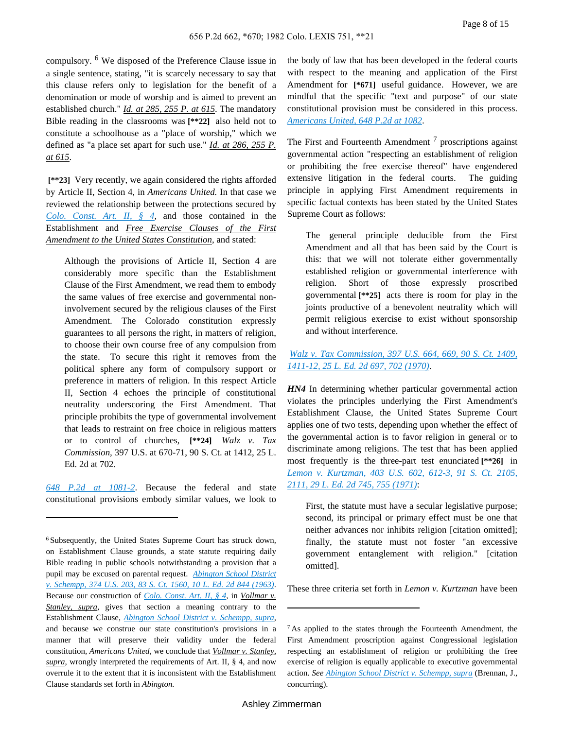compulsory. <sup>6</sup> We disposed of the Preference Clause issue in a single sentence, stating, "it is scarcely necessary to say that this clause refers only to legislation for the benefit of a denomination or mode of worship and is aimed to prevent an established church." *Id. at 285, 255 P. at 615*. The mandatory Bible reading in the classrooms was **[\*\*22]** also held not to constitute a schoolhouse as a "place of worship," which we defined as "a place set apart for such use." *Id. at 286, 255 P. at 615*.

**[\*\*23]** Very recently, we again considered the rights afforded by Article II, Section 4, in *Americans United.* In that case we reviewed the relationship between the protections secured by *Colo. [Const.](http://advance.lexis.com/api/document?collection=statutes-legislation&id=urn:contentItem:5K2D-HNH0-004D-1006-00000-00&context=) Art. II, § 4*, and those contained in the Establishment and *Free Exercise Clauses of the First Amendment to the United States Constitution*, and stated:

Although the provisions of Article II, Section 4 are considerably more specific than the Establishment Clause of the First Amendment, we read them to embody the same values of free exercise and governmental noninvolvement secured by the religious clauses of the First Amendment. The Colorado constitution expressly guarantees to all persons the right, in matters of religion, to choose their own course free of any compulsion from the state. To secure this right it removes from the political sphere any form of compulsory support or preference in matters of religion. In this respect Article II, Section 4 echoes the principle of constitutional neutrality underscoring the First Amendment. That principle prohibits the type of governmental involvement that leads to restraint on free choice in religious matters or to control of churches, **[\*\*24]** *Walz v. Tax Commission,* 397 U.S. at 670-71, 90 S. Ct. at 1412, 25 L. Ed. 2d at 702.

*648 P.2d at [1081-2](http://advance.lexis.com/api/document?collection=cases&id=urn:contentItem:3RX4-1880-003D-9160-00000-00&context=)*. Because the federal and state constitutional provisions embody similar values, we look to the body of law that has been developed in the federal courts with respect to the meaning and application of the First Amendment for [\*671] useful guidance. However, we are mindful that the specific "text and purpose" of our state constitutional provision must be considered in this process. *[Americans](http://advance.lexis.com/api/document?collection=cases&id=urn:contentItem:3RX4-1880-003D-9160-00000-00&context=) United, 648 P.2d at 1082*.

The First and Fourteenth Amendment<sup>7</sup> proscriptions against governmental action "respecting an establishment of religion or prohibiting the free exercise thereof" have engendered extensive litigation in the federal courts. The guiding principle in applying First Amendment requirements in specific factual contexts has been stated by the United States Supreme Court as follows:

The general principle deducible from the First Amendment and all that has been said by the Court is this: that we will not tolerate either governmentally established religion or governmental interference with religion. Short of those expressly proscribed governmental **[\*\*25]** acts there is room for play in the joints productive of a benevolent neutrality which will permit religious exercise to exist without sponsorship and without interference.

*Walz v. Tax [Commission,](http://advance.lexis.com/api/document?collection=cases&id=urn:contentItem:3S4X-F1M0-003B-S29J-00000-00&context=) 397 U.S. 664, 669, 90 S. Ct. 1409, [1411-12,](http://advance.lexis.com/api/document?collection=cases&id=urn:contentItem:3S4X-F1M0-003B-S29J-00000-00&context=) 25 L. Ed. 2d 697, 702 (1970)*.

*HN4* In determining whether particular governmental action violates the principles underlying the First Amendment's Establishment Clause, the United States Supreme Court applies one of two tests, depending upon whether the effect of the governmental action is to favor religion in general or to discriminate among religions. The test that has been applied most frequently is the three-part test enunciated **[\*\*26]** in *Lemon v. [Kurtzman,](http://advance.lexis.com/api/document?collection=cases&id=urn:contentItem:3S4X-DF50-003B-S1YY-00000-00&context=) 403 U.S. 602, 612-3, 91 S. Ct. 2105, 2111, 29 L. Ed. 2d 745, 755 [\(1971\)](http://advance.lexis.com/api/document?collection=cases&id=urn:contentItem:3S4X-DF50-003B-S1YY-00000-00&context=)*:

First, the statute must have a secular legislative purpose; second, its principal or primary effect must be one that neither advances nor inhibits religion [citation omitted]; finally, the statute must not foster "an excessive government entanglement with religion." [citation omitted].

These three criteria set forth in *Lemon v. Kurtzman* have been

<sup>6</sup> Subsequently, the United States Supreme Court has struck down, on Establishment Clause grounds, a state statute requiring daily Bible reading in public schools notwithstanding a provision that a pupil may be excused on parental request. *[Abington](http://advance.lexis.com/api/document?collection=cases&id=urn:contentItem:3S4X-H2K0-003B-S25D-00000-00&context=) School District v. [Schempp,](http://advance.lexis.com/api/document?collection=cases&id=urn:contentItem:3S4X-H2K0-003B-S25D-00000-00&context=) 374 U.S. 203, 83 S. Ct. 1560, 10 L. Ed. 2d 844 (1963)*. Because our construction of *Colo. [Const.](http://advance.lexis.com/api/document?collection=statutes-legislation&id=urn:contentItem:5K2D-HNH0-004D-1006-00000-00&context=) Art. II, § 4*, in *Vollmar v. Stanley, supra,* gives that section a meaning contrary to the Establishment Clause, *Abington School District v. [Schempp,](http://advance.lexis.com/api/document?collection=cases&id=urn:contentItem:3S4X-H2K0-003B-S25D-00000-00&context=) supra,* and because we construe our state constitution's provisions in a manner that will preserve their validity under the federal constitution, *Americans United,* we conclude that *Vollmar v. Stanley, supra,* wrongly interpreted the requirements of Art. II, § 4, and now overrule it to the extent that it is inconsistent with the Establishment Clause standards set forth in *Abington.*

<sup>7</sup> As applied to the states through the Fourteenth Amendment, the First Amendment proscription against Congressional legislation respecting an establishment of religion or prohibiting the free exercise of religion is equally applicable to executive governmental action. *See Abington School District v. [Schempp,](http://advance.lexis.com/api/document?collection=cases&id=urn:contentItem:3S4X-H2K0-003B-S25D-00000-00&context=) supra* (Brennan, J., concurring).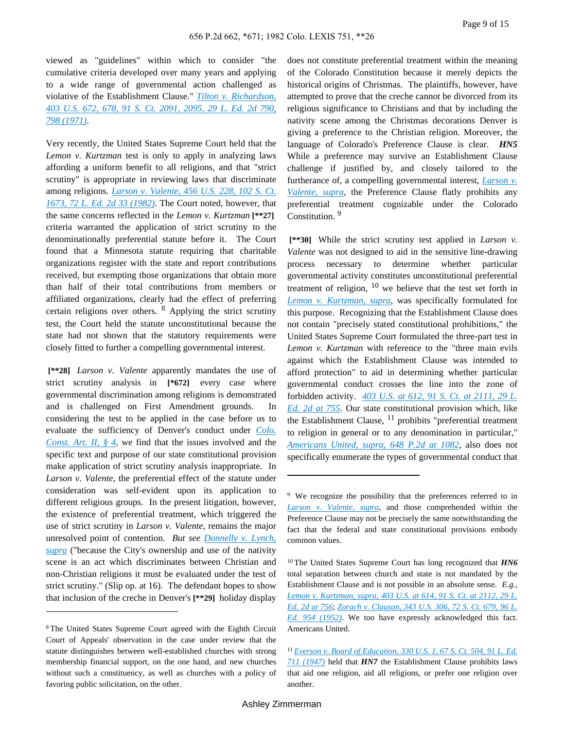viewed as "guidelines" within which to consider "the cumulative criteria developed over many years and applying to a wide range of governmental action challenged as violative of the Establishment Clause." *Tilton v. [Richardson,](http://advance.lexis.com/api/document?collection=cases&id=urn:contentItem:3S4X-DF50-003B-S200-00000-00&context=) 403 U.S. 672, 678, 91 S. Ct. [2091,](http://advance.lexis.com/api/document?collection=cases&id=urn:contentItem:3S4X-DF50-003B-S200-00000-00&context=) 2095, 29 L. Ed. 2d 790, 798 [\(1971\)](http://advance.lexis.com/api/document?collection=cases&id=urn:contentItem:3S4X-DF50-003B-S200-00000-00&context=)*.

Very recently, the United States Supreme Court held that the *Lemon v. Kurtzman* test is only to apply in analyzing laws affording a uniform benefit to all religions, and that "strict scrutiny" is appropriate in reviewing laws that discriminate among religions. *Larson v. [Valente,](http://advance.lexis.com/api/document?collection=cases&id=urn:contentItem:3S4X-5JK0-003B-S0M5-00000-00&context=) 456 U.S. 228, 102 S. Ct. 1673, 72 L. Ed. 2d 33 [\(1982\)](http://advance.lexis.com/api/document?collection=cases&id=urn:contentItem:3S4X-5JK0-003B-S0M5-00000-00&context=)*. The Court noted, however, that the same concerns reflected in the *Lemon v. Kurtzman* **[\*\*27]** criteria warranted the application of strict scrutiny to the denominationally preferential statute before it. The Court found that a Minnesota statute requiring that charitable organizations register with the state and report contributions received, but exempting those organizations that obtain more than half of their total contributions from members or affiliated organizations, clearly had the effect of preferring certain religions over others. <sup>8</sup> Applying the strict scrutiny test, the Court held the statute unconstitutional because the state had not shown that the statutory requirements were closely fitted to further a compelling governmental interest.

**[\*\*28]** *Larson v. Valente* apparently mandates the use of strict scrutiny analysis in **[\*672]** every case where governmental discrimination among religions is demonstrated and is challenged on First Amendment grounds. In considering the test to be applied in the case before us to evaluate the sufficiency of Denver's conduct under *[Colo.](http://advance.lexis.com/api/document?collection=statutes-legislation&id=urn:contentItem:5K2D-HNH0-004D-1006-00000-00&context=) [Const.](http://advance.lexis.com/api/document?collection=statutes-legislation&id=urn:contentItem:5K2D-HNH0-004D-1006-00000-00&context=) Art. II, § 4*, we find that the issues involved and the specific text and purpose of our state constitutional provision make application of strict scrutiny analysis inappropriate. In *Larson v. Valente,* the preferential effect of the statute under consideration was self-evident upon its application to different religious groups. In the present litigation, however, the existence of preferential treatment, which triggered the use of strict scrutiny in *Larson v. Valente,* remains the major unresolved point of contention. *But see [Donnelly](http://advance.lexis.com/api/document?collection=cases&id=urn:contentItem:3S4X-1J60-003B-G1VB-00000-00&context=) v. Lynch, [supra](http://advance.lexis.com/api/document?collection=cases&id=urn:contentItem:3S4X-1J60-003B-G1VB-00000-00&context=)* ("because the City's ownership and use of the nativity scene is an act which discriminates between Christian and non-Christian religions it must be evaluated under the test of strict scrutiny." (Slip op. at 16). The defendant hopes to show that inclusion of the creche in Denver's **[\*\*29]** holiday display

does not constitute preferential treatment within the meaning of the Colorado Constitution because it merely depicts the historical origins of Christmas. The plaintiffs, however, have attempted to prove that the creche cannot be divorced from its religious significance to Christians and that by including the nativity scene among the Christmas decorations Denver is giving a preference to the Christian religion. Moreover, the language of Colorado's Preference Clause is clear. *HN5* While a preference may survive an Establishment Clause challenge if justified by, and closely tailored to the furtherance of, a compelling governmental interest, *[Larson](http://advance.lexis.com/api/document?collection=cases&id=urn:contentItem:3S4X-5JK0-003B-S0M5-00000-00&context=) v. [Valente,](http://advance.lexis.com/api/document?collection=cases&id=urn:contentItem:3S4X-5JK0-003B-S0M5-00000-00&context=) supra,* the Preference Clause flatly prohibits any preferential treatment cognizable under the Colorado Constitution.<sup>9</sup>

**[\*\*30]** While the strict scrutiny test applied in *Larson v. Valente* was not designed to aid in the sensitive line-drawing process necessary to determine whether particular governmental activity constitutes unconstitutional preferential treatment of religion,  $10$  we believe that the test set forth in *Lemon v. [Kurtzman,](http://advance.lexis.com/api/document?collection=cases&id=urn:contentItem:3S4X-DF50-003B-S1YY-00000-00&context=) supra,* was specifically formulated for this purpose. Recognizing that the Establishment Clause does not contain "precisely stated constitutional prohibitions," the United States Supreme Court formulated the three-part test in *Lemon v. Kurtzman* with reference to the "three main evils against which the Establishment Clause was intended to afford protection" to aid in determining whether particular governmental conduct crosses the line into the zone of forbidden activity. *403 U.S. at 612, 91 S. Ct. at [2111,](http://advance.lexis.com/api/document?collection=cases&id=urn:contentItem:3S4X-DF50-003B-S1YY-00000-00&context=) 29 L. Ed. 2d at [755](http://advance.lexis.com/api/document?collection=cases&id=urn:contentItem:3S4X-DF50-003B-S1YY-00000-00&context=)*. Our state constitutional provision which, like the Establishment Clause,  $^{11}$  prohibits "preferential treatment to religion in general or to any denomination in particular," *[Americans](http://advance.lexis.com/api/document?collection=cases&id=urn:contentItem:3RX4-1880-003D-9160-00000-00&context=) United, supra, 648 P.2d at 1082*, also does not specifically enumerate the types of governmental conduct that

<sup>8</sup> The United States Supreme Court agreed with the Eighth Circuit Court of Appeals' observation in the case under review that the statute distinguishes between well-established churches with strong membership financial support, on the one hand, and new churches without such a constituency, as well as churches with a policy of favoring public solicitation, on the other.

<sup>&</sup>lt;sup>9</sup> We recognize the possibility that the preferences referred to in *Larson v. [Valente,](http://advance.lexis.com/api/document?collection=cases&id=urn:contentItem:3S4X-5JK0-003B-S0M5-00000-00&context=) supra,* and those comprehended within the Preference Clause may not be precisely the same notwithstanding the fact that the federal and state constitutional provisions embody common values.

<sup>10</sup> The United States Supreme Court has long recognized that *HN6* total separation between church and state is not mandated by the Establishment Clause and is not possible in an absolute sense. *E.g., Lemon v. [Kurtzman,](http://advance.lexis.com/api/document?collection=cases&id=urn:contentItem:3S4X-DF50-003B-S1YY-00000-00&context=) supra, 403 U.S. at 614, 91 S. Ct. at 2112, 29 L. Ed. 2d at [756](http://advance.lexis.com/api/document?collection=cases&id=urn:contentItem:3S4X-DF50-003B-S1YY-00000-00&context=)*; *Zorach v. [Clauson,](http://advance.lexis.com/api/document?collection=cases&id=urn:contentItem:3S4X-JHW0-003B-S25G-00000-00&context=) 343 U.S. 306, 72 S. Ct. 679, 96 L. Ed. 954 [\(1952\)](http://advance.lexis.com/api/document?collection=cases&id=urn:contentItem:3S4X-JHW0-003B-S25G-00000-00&context=)*. We too have expressly acknowledged this fact. Americans United.

<sup>11</sup> *Everson v. Board of [Education,](http://advance.lexis.com/api/document?collection=cases&id=urn:contentItem:3S4X-JW20-003B-S146-00000-00&context=) 330 U.S. 1, 67 S. Ct. 504, 91 L. Ed. 711 [\(1947\)](http://advance.lexis.com/api/document?collection=cases&id=urn:contentItem:3S4X-JW20-003B-S146-00000-00&context=)* held that *HN7* the Establishment Clause prohibits laws that aid one religion, aid all religions, or prefer one religion over another.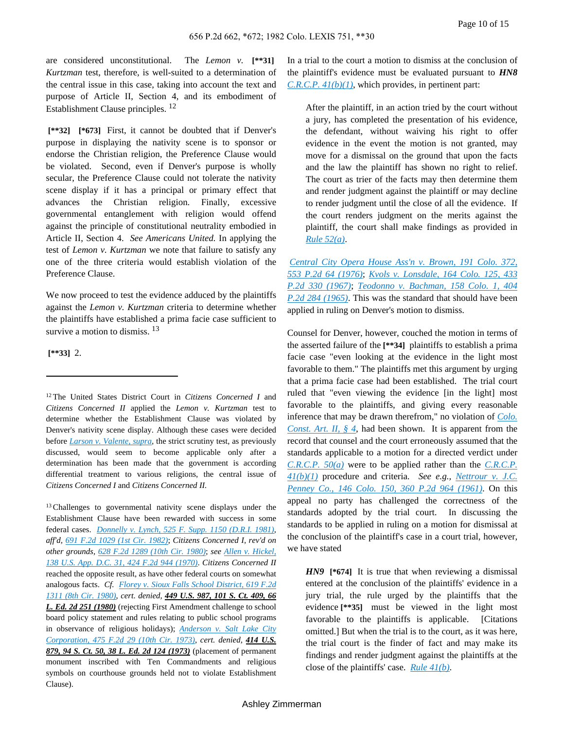are considered unconstitutional. The *Lemon v.* **[\*\*31]** *Kurtzman* test, therefore, is well-suited to a determination of the central issue in this case, taking into account the text and purpose of Article II, Section 4, and its embodiment of Establishment Clause principles. <sup>12</sup>

**[\*\*32] [\*673]** First, it cannot be doubted that if Denver's purpose in displaying the nativity scene is to sponsor or endorse the Christian religion, the Preference Clause would be violated. Second, even if Denver's purpose is wholly secular, the Preference Clause could not tolerate the nativity scene display if it has a principal or primary effect that advances the Christian religion. Finally, excessive governmental entanglement with religion would offend against the principle of constitutional neutrality embodied in Article II, Section 4. *See Americans United.* In applying the test of *Lemon v. Kurtzman* we note that failure to satisfy any one of the three criteria would establish violation of the Preference Clause.

We now proceed to test the evidence adduced by the plaintiffs against the *Lemon v. Kurtzman* criteria to determine whether the plaintiffs have established a prima facie case sufficient to survive a motion to dismiss.  $^{13}$ 

**[\*\*33]** 2.

<sup>12</sup> The United States District Court in *Citizens Concerned I* and *Citizens Concerned II* applied the *Lemon v. Kurtzman* test to determine whether the Establishment Clause was violated by Denver's nativity scene display. Although these cases were decided before *Larson v. [Valente,](http://advance.lexis.com/api/document?collection=cases&id=urn:contentItem:3S4X-5JK0-003B-S0M5-00000-00&context=) supra,* the strict scrutiny test, as previously discussed, would seem to become applicable only after a determination has been made that the government is according differential treatment to various religions, the central issue of *Citizens Concerned I* and *Citizens Concerned II.*

<sup>13</sup> Challenges to governmental nativity scene displays under the Establishment Clause have been rewarded with success in some federal cases. *[Donnelly](http://advance.lexis.com/api/document?collection=cases&id=urn:contentItem:3S4N-KFT0-0039-S31H-00000-00&context=) v. Lynch, 525 F. Supp. 1150 (D.R.I. 1981)*, *aff'd, 691 F.2d 1029 (1st Cir. [1982\)](http://advance.lexis.com/api/document?collection=cases&id=urn:contentItem:3S4X-1J60-003B-G1VB-00000-00&context=)*; *Citizens Concerned I, rev'd on other grounds, 628 F.2d 1289 (10th Cir. [1980\)](http://advance.lexis.com/api/document?collection=cases&id=urn:contentItem:3S4X-9NC0-0039-W26G-00000-00&context=)*; *see Allen v. [Hickel,](http://advance.lexis.com/api/document?collection=cases&id=urn:contentItem:3S4X-M9D0-0039-X4MG-00000-00&context=) 138 U.S. App. D.C. 31, 424 F.2d 944 [\(1970\)](http://advance.lexis.com/api/document?collection=cases&id=urn:contentItem:3S4X-M9D0-0039-X4MG-00000-00&context=)*. *Citizens Concerned II* reached the opposite result, as have other federal courts on somewhat analogous facts. *Cf. Florey v. Sioux Falls School [District,](http://advance.lexis.com/api/document?collection=cases&id=urn:contentItem:3S4X-FXK0-0039-W25Y-00000-00&context=) 619 F.2d 1311 (8th Cir. [1980\)](http://advance.lexis.com/api/document?collection=cases&id=urn:contentItem:3S4X-FXK0-0039-W25Y-00000-00&context=)*, *cert. denied, 449 U.S. 987, 101 S. Ct. 409, 66 L. Ed. 2d 251 (1980)* (rejecting First Amendment challenge to school board policy statement and rules relating to public school programs in observance of religious holidays); *[Anderson](http://advance.lexis.com/api/document?collection=cases&id=urn:contentItem:3S4X-1K40-0039-X35J-00000-00&context=) v. Salt Lake City [Corporation,](http://advance.lexis.com/api/document?collection=cases&id=urn:contentItem:3S4X-1K40-0039-X35J-00000-00&context=) 475 F.2d 29 (10th Cir. 1973)*, *cert. denied, 414 U.S. 879, 94 S. Ct. 50, 38 L. Ed. 2d 124 (1973)* (placement of permanent monument inscribed with Ten Commandments and religious symbols on courthouse grounds held not to violate Establishment Clause).

In a trial to the court a motion to dismiss at the conclusion of the plaintiff's evidence must be evaluated pursuant to *HN8 [C.R.C.P.](http://advance.lexis.com/api/document?collection=statutes-legislation&id=urn:contentItem:5FXT-9HB0-01JM-N1YJ-00000-00&context=) 41(b)(1)*, which provides, in pertinent part:

After the plaintiff, in an action tried by the court without a jury, has completed the presentation of his evidence, the defendant, without waiving his right to offer evidence in the event the motion is not granted, may move for a dismissal on the ground that upon the facts and the law the plaintiff has shown no right to relief. The court as trier of the facts may then determine them and render judgment against the plaintiff or may decline to render judgment until the close of all the evidence. If the court renders judgment on the merits against the plaintiff, the court shall make findings as provided in *Rule [52\(a\)](http://advance.lexis.com/api/document?collection=statutes-legislation&id=urn:contentItem:5FXT-9HB0-01JM-N202-00000-00&context=)*.

*[Central](http://advance.lexis.com/api/document?collection=cases&id=urn:contentItem:3RX4-1K20-003D-9386-00000-00&context=) City Opera House Ass'n v. Brown, 191 Colo. 372, 553 P.2d 64 [\(1976\)](http://advance.lexis.com/api/document?collection=cases&id=urn:contentItem:3RX4-1K20-003D-9386-00000-00&context=)*; *Kvols v. [Lonsdale,](http://advance.lexis.com/api/document?collection=cases&id=urn:contentItem:3RX4-2730-003D-92DP-00000-00&context=) 164 Colo. 125, 433 P.2d 330 [\(1967\)](http://advance.lexis.com/api/document?collection=cases&id=urn:contentItem:3RX4-2730-003D-92DP-00000-00&context=)*; *Teodonno v. [Bachman,](http://advance.lexis.com/api/document?collection=cases&id=urn:contentItem:3RX4-25V0-003D-925F-00000-00&context=) 158 Colo. 1, 404 P.2d 284 [\(1965\)](http://advance.lexis.com/api/document?collection=cases&id=urn:contentItem:3RX4-25V0-003D-925F-00000-00&context=)*. This was the standard that should have been applied in ruling on Denver's motion to dismiss.

Counsel for Denver, however, couched the motion in terms of the asserted failure of the **[\*\*34]** plaintiffs to establish a prima facie case "even looking at the evidence in the light most favorable to them." The plaintiffs met this argument by urging that a prima facie case had been established. The trial court ruled that "even viewing the evidence [in the light] most favorable to the plaintiffs, and giving every reasonable inference that may be drawn therefrom," no violation of *[Colo.](http://advance.lexis.com/api/document?collection=statutes-legislation&id=urn:contentItem:5K2D-HNH0-004D-1006-00000-00&context=) [Const.](http://advance.lexis.com/api/document?collection=statutes-legislation&id=urn:contentItem:5K2D-HNH0-004D-1006-00000-00&context=) Art. II, § 4*, had been shown. It is apparent from the record that counsel and the court erroneously assumed that the standards applicable to a motion for a directed verdict under *[C.R.C.P.](http://advance.lexis.com/api/document?collection=statutes-legislation&id=urn:contentItem:5FXT-9HB0-01JM-N1YY-00000-00&context=) 50(a)* were to be applied rather than the *[C.R.C.P.](http://advance.lexis.com/api/document?collection=statutes-legislation&id=urn:contentItem:5FXT-9HB0-01JM-N1YJ-00000-00&context=) [41\(b\)\(1\)](http://advance.lexis.com/api/document?collection=statutes-legislation&id=urn:contentItem:5FXT-9HB0-01JM-N1YJ-00000-00&context=)* procedure and criteria. *See e.g., [Nettrour](http://advance.lexis.com/api/document?collection=cases&id=urn:contentItem:3RRM-WYX0-0040-0185-00000-00&context=) v. J.C. [Penney](http://advance.lexis.com/api/document?collection=cases&id=urn:contentItem:3RRM-WYX0-0040-0185-00000-00&context=) Co., 146 Colo. 150, 360 P.2d 964 (1961)*. On this appeal no party has challenged the correctness of the standards adopted by the trial court. In discussing the standards to be applied in ruling on a motion for dismissal at the conclusion of the plaintiff's case in a court trial, however, we have stated

*HN9* [\*674] It is true that when reviewing a dismissal entered at the conclusion of the plaintiffs' evidence in a jury trial, the rule urged by the plaintiffs that the evidence **[\*\*35]** must be viewed in the light most favorable to the plaintiffs is applicable. [Citations omitted.] But when the trial is to the court, as it was here, the trial court is the finder of fact and may make its findings and render judgment against the plaintiffs at the close of the plaintiffs' case. *Rule [41\(b\)](http://advance.lexis.com/api/document?collection=statutes-legislation&id=urn:contentItem:5FXT-9HB0-01JM-N1YJ-00000-00&context=)*.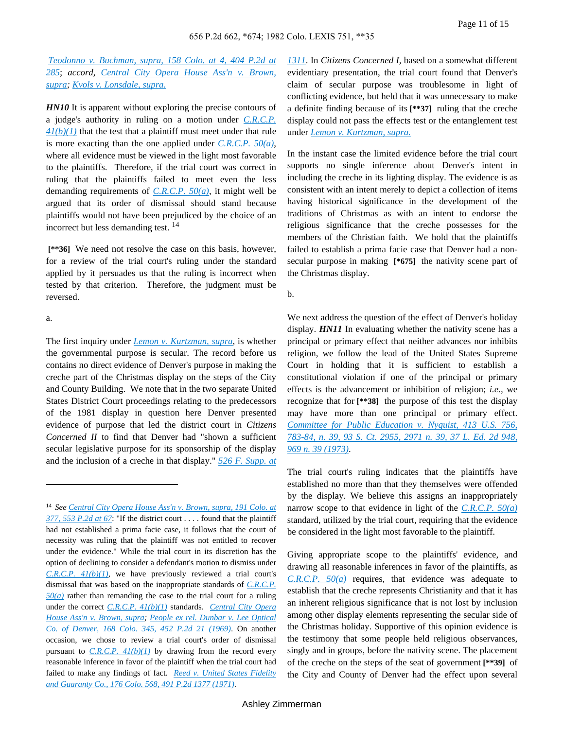*Teodonno v. [Buchman,](http://advance.lexis.com/api/document?collection=cases&id=urn:contentItem:3RX4-25V0-003D-925F-00000-00&context=) supra, 158 Colo. at 4, 404 P.2d at [285](http://advance.lexis.com/api/document?collection=cases&id=urn:contentItem:3RX4-25V0-003D-925F-00000-00&context=)*; *accord, [Central](http://advance.lexis.com/api/document?collection=cases&id=urn:contentItem:3RX4-1K20-003D-9386-00000-00&context=) City Opera House Ass'n v. Brown, [supra;](http://advance.lexis.com/api/document?collection=cases&id=urn:contentItem:3RX4-1K20-003D-9386-00000-00&context=) Kvols v. [Lonsdale,](http://advance.lexis.com/api/document?collection=cases&id=urn:contentItem:3RX4-2730-003D-92DP-00000-00&context=) supra.*

*HN10* It is apparent without exploring the precise contours of a judge's authority in ruling on a motion under *[C.R.C.P.](http://advance.lexis.com/api/document?collection=statutes-legislation&id=urn:contentItem:5FXT-9HB0-01JM-N1YJ-00000-00&context=) [41\(b\)\(1\)](http://advance.lexis.com/api/document?collection=statutes-legislation&id=urn:contentItem:5FXT-9HB0-01JM-N1YJ-00000-00&context=)* that the test that a plaintiff must meet under that rule is more exacting than the one applied under *[C.R.C.P.](http://advance.lexis.com/api/document?collection=statutes-legislation&id=urn:contentItem:5FXT-9HB0-01JM-N1YY-00000-00&context=) 50(a)*, where all evidence must be viewed in the light most favorable to the plaintiffs. Therefore, if the trial court was correct in ruling that the plaintiffs failed to meet even the less demanding requirements of *[C.R.C.P.](http://advance.lexis.com/api/document?collection=statutes-legislation&id=urn:contentItem:5FXT-9HB0-01JM-N1YY-00000-00&context=) 50(a)*, it might well be argued that its order of dismissal should stand because plaintiffs would not have been prejudiced by the choice of an incorrect but less demanding test. <sup>14</sup>

**[\*\*36]** We need not resolve the case on this basis, however, for a review of the trial court's ruling under the standard applied by it persuades us that the ruling is incorrect when tested by that criterion. Therefore, the judgment must be reversed.

a.

The first inquiry under *Lemon v. [Kurtzman,](http://advance.lexis.com/api/document?collection=cases&id=urn:contentItem:3S4X-DF50-003B-S1YY-00000-00&context=) supra,* is whether the governmental purpose is secular. The record before us contains no direct evidence of Denver's purpose in making the creche part of the Christmas display on the steps of the City and County Building. We note that in the two separate United States District Court proceedings relating to the predecessors of the 1981 display in question here Denver presented evidence of purpose that led the district court in *Citizens Concerned II* to find that Denver had "shown a sufficient secular legislative purpose for its sponsorship of the display and the inclusion of a creche in that display." *526 F. [Supp.](http://advance.lexis.com/api/document?collection=cases&id=urn:contentItem:3S4N-JM00-0039-S27F-00000-00&context=) at* *[1311](http://advance.lexis.com/api/document?collection=cases&id=urn:contentItem:3S4N-JM00-0039-S27F-00000-00&context=)*. In *Citizens Concerned I,* based on a somewhat different evidentiary presentation, the trial court found that Denver's claim of secular purpose was troublesome in light of conflicting evidence, but held that it was unnecessary to make a definite finding because of its **[\*\*37]** ruling that the creche display could not pass the effects test or the entanglement test under *Lemon v. [Kurtzman,](http://advance.lexis.com/api/document?collection=cases&id=urn:contentItem:3S4X-DF50-003B-S1YY-00000-00&context=) supra.*

In the instant case the limited evidence before the trial court supports no single inference about Denver's intent in including the creche in its lighting display. The evidence is as consistent with an intent merely to depict a collection of items having historical significance in the development of the traditions of Christmas as with an intent to endorse the religious significance that the creche possesses for the members of the Christian faith. We hold that the plaintiffs failed to establish a prima facie case that Denver had a nonsecular purpose in making **[\*675]** the nativity scene part of the Christmas display.

b.

We next address the question of the effect of Denver's holiday display. *HN11* In evaluating whether the nativity scene has a principal or primary effect that neither advances nor inhibits religion, we follow the lead of the United States Supreme Court in holding that it is sufficient to establish a constitutional violation if one of the principal or primary effects is the advancement or inhibition of religion; *i.e.,* we recognize that for **[\*\*38]** the purpose of this test the display may have more than one principal or primary effect. *[Committee](http://advance.lexis.com/api/document?collection=cases&id=urn:contentItem:3S4X-CSB0-003B-S21R-00000-00&context=) for Public Education v. Nyquist, 413 U.S. 756, [783-84,](http://advance.lexis.com/api/document?collection=cases&id=urn:contentItem:3S4X-CSB0-003B-S21R-00000-00&context=) n. 39, 93 S. Ct. 2955, 2971 n. 39, 37 L. Ed. 2d 948, 969 n. 39 [\(1973\)](http://advance.lexis.com/api/document?collection=cases&id=urn:contentItem:3S4X-CSB0-003B-S21R-00000-00&context=)*.

The trial court's ruling indicates that the plaintiffs have established no more than that they themselves were offended by the display. We believe this assigns an inappropriately narrow scope to that evidence in light of the *[C.R.C.P.](http://advance.lexis.com/api/document?collection=statutes-legislation&id=urn:contentItem:5FXT-9HB0-01JM-N1YY-00000-00&context=) 50(a)* standard, utilized by the trial court, requiring that the evidence be considered in the light most favorable to the plaintiff.

Giving appropriate scope to the plaintiffs' evidence, and drawing all reasonable inferences in favor of the plaintiffs, as *[C.R.C.P.](http://advance.lexis.com/api/document?collection=statutes-legislation&id=urn:contentItem:5FXT-9HB0-01JM-N1YY-00000-00&context=) 50(a)* requires, that evidence was adequate to establish that the creche represents Christianity and that it has an inherent religious significance that is not lost by inclusion among other display elements representing the secular side of the Christmas holiday. Supportive of this opinion evidence is the testimony that some people held religious observances, singly and in groups, before the nativity scene. The placement of the creche on the steps of the seat of government **[\*\*39]** of the City and County of Denver had the effect upon several

<sup>14</sup> *See [Central](http://advance.lexis.com/api/document?collection=cases&id=urn:contentItem:3RX4-1K20-003D-9386-00000-00&context=) City Opera House Ass'n v. Brown, supra, 191 Colo. at 377, 553 [P.2d](http://advance.lexis.com/api/document?collection=cases&id=urn:contentItem:3RX4-1K20-003D-9386-00000-00&context=) at 67*: "If the district court . . . . found that the plaintiff had not established a prima facie case, it follows that the court of necessity was ruling that the plaintiff was not entitled to recover under the evidence." While the trial court in its discretion has the option of declining to consider a defendant's motion to dismiss under *[C.R.C.P.](http://advance.lexis.com/api/document?collection=statutes-legislation&id=urn:contentItem:5FXT-9HB0-01JM-N1YJ-00000-00&context=) 41(b)(1)*, we have previously reviewed a trial court's dismissal that was based on the inappropriate standards of *[C.R.C.P.](http://advance.lexis.com/api/document?collection=statutes-legislation&id=urn:contentItem:5FXT-9HB0-01JM-N1YY-00000-00&context=) [50\(a\)](http://advance.lexis.com/api/document?collection=statutes-legislation&id=urn:contentItem:5FXT-9HB0-01JM-N1YY-00000-00&context=)* rather than remanding the case to the trial court for a ruling under the correct *[C.R.C.P.](http://advance.lexis.com/api/document?collection=statutes-legislation&id=urn:contentItem:5FXT-9HB0-01JM-N1YJ-00000-00&context=) 41(b)(1)* standards. *[Central](http://advance.lexis.com/api/document?collection=cases&id=urn:contentItem:3RX4-1K20-003D-9386-00000-00&context=) City Opera House Ass'n v. [Brown,](http://advance.lexis.com/api/document?collection=cases&id=urn:contentItem:3RX4-1K20-003D-9386-00000-00&context=) supra; People ex rel. [Dunbar](http://advance.lexis.com/api/document?collection=cases&id=urn:contentItem:3RX4-1XR0-003D-90T4-00000-00&context=) v. Lee Optical Co. of [Denver,](http://advance.lexis.com/api/document?collection=cases&id=urn:contentItem:3RX4-1XR0-003D-90T4-00000-00&context=) 168 Colo. 345, 452 P.2d 21 (1969)*. On another occasion, we chose to review a trial court's order of dismissal pursuant to *[C.R.C.P.](http://advance.lexis.com/api/document?collection=statutes-legislation&id=urn:contentItem:5FXT-9HB0-01JM-N1YJ-00000-00&context=)*  $41(b)(1)$  by drawing from the record every reasonable inference in favor of the plaintiff when the trial court had failed to make any findings of fact. *Reed v. United States [Fidelity](http://advance.lexis.com/api/document?collection=cases&id=urn:contentItem:3RX4-1T60-003D-951K-00000-00&context=) and [Guaranty](http://advance.lexis.com/api/document?collection=cases&id=urn:contentItem:3RX4-1T60-003D-951K-00000-00&context=) Co., 176 Colo. 568, 491 P.2d 1377 (1971)*.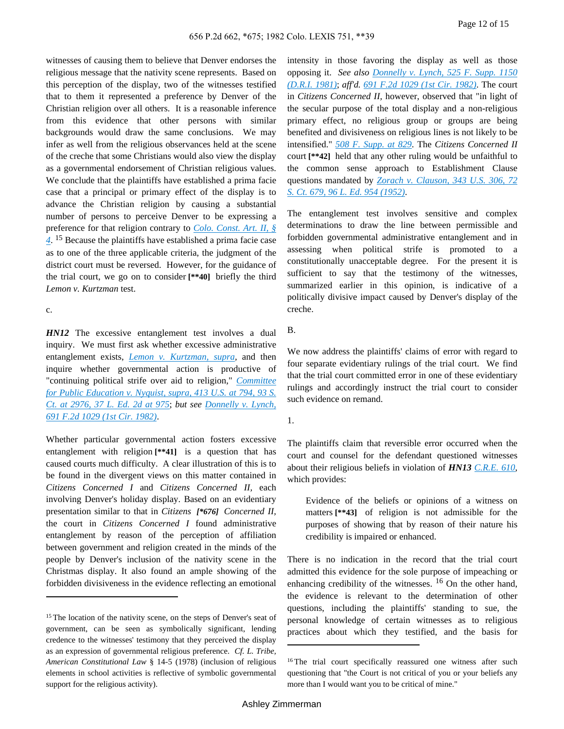witnesses of causing them to believe that Denver endorses the religious message that the nativity scene represents. Based on this perception of the display, two of the witnesses testified that to them it represented a preference by Denver of the Christian religion over all others. It is a reasonable inference from this evidence that other persons with similar backgrounds would draw the same conclusions. We may infer as well from the religious observances held at the scene of the creche that some Christians would also view the display as a governmental endorsement of Christian religious values. We conclude that the plaintiffs have established a prima facie case that a principal or primary effect of the display is to advance the Christian religion by causing a substantial number of persons to perceive Denver to be expressing a preference for that religion contrary to *Colo. [Const.](http://advance.lexis.com/api/document?collection=statutes-legislation&id=urn:contentItem:5K2D-HNH0-004D-1006-00000-00&context=) Art. II, § [4](http://advance.lexis.com/api/document?collection=statutes-legislation&id=urn:contentItem:5K2D-HNH0-004D-1006-00000-00&context=)*. <sup>15</sup> Because the plaintiffs have established a prima facie case as to one of the three applicable criteria, the judgment of the district court must be reversed. However, for the guidance of the trial court, we go on to consider **[\*\*40]** briefly the third *Lemon v. Kurtzman* test.

c.

*HN12* The excessive entanglement test involves a dual inquiry. We must first ask whether excessive administrative entanglement exists, *Lemon v. [Kurtzman,](http://advance.lexis.com/api/document?collection=cases&id=urn:contentItem:3S4X-DF50-003B-S1YY-00000-00&context=) supra,* and then inquire whether governmental action is productive of "continuing political strife over aid to religion," *[Committee](http://advance.lexis.com/api/document?collection=cases&id=urn:contentItem:3S4X-CSB0-003B-S21R-00000-00&context=) for Public [Education](http://advance.lexis.com/api/document?collection=cases&id=urn:contentItem:3S4X-CSB0-003B-S21R-00000-00&context=) v. Nyquist, supra, 413 U.S. at 794, 93 S. Ct. at [2976,](http://advance.lexis.com/api/document?collection=cases&id=urn:contentItem:3S4X-CSB0-003B-S21R-00000-00&context=) 37 L. Ed. 2d at 975*; *but see [Donnelly](http://advance.lexis.com/api/document?collection=cases&id=urn:contentItem:3S4X-1J60-003B-G1VB-00000-00&context=) v. Lynch, 691 F.2d 1029 (1st Cir. [1982\)](http://advance.lexis.com/api/document?collection=cases&id=urn:contentItem:3S4X-1J60-003B-G1VB-00000-00&context=)*.

Whether particular governmental action fosters excessive entanglement with religion **[\*\*41]** is a question that has caused courts much difficulty. A clear illustration of this is to be found in the divergent views on this matter contained in *Citizens Concerned I* and *Citizens Concerned II,* each involving Denver's holiday display. Based on an evidentiary presentation similar to that in *Citizens [\*676] Concerned II,* the court in *Citizens Concerned I* found administrative entanglement by reason of the perception of affiliation between government and religion created in the minds of the people by Denver's inclusion of the nativity scene in the Christmas display. It also found an ample showing of the forbidden divisiveness in the evidence reflecting an emotional

intensity in those favoring the display as well as those opposing it. *See also [Donnelly](http://advance.lexis.com/api/document?collection=cases&id=urn:contentItem:3S4N-KFT0-0039-S31H-00000-00&context=) v. Lynch, 525 F. Supp. 1150 [\(D.R.I.](http://advance.lexis.com/api/document?collection=cases&id=urn:contentItem:3S4N-KFT0-0039-S31H-00000-00&context=) 1981)*; *aff'd. 691 F.2d 1029 (1st Cir. [1982\)](http://advance.lexis.com/api/document?collection=cases&id=urn:contentItem:3S4X-1J60-003B-G1VB-00000-00&context=)*. The court in *Citizens Concerned II,* however, observed that "in light of the secular purpose of the total display and a non-religious primary effect, no religious group or groups are being benefited and divisiveness on religious lines is not likely to be intensified." *508 F. [Supp.](http://advance.lexis.com/api/document?collection=cases&id=urn:contentItem:3S4N-TKP0-0039-S0YK-00000-00&context=) at 829*. The *Citizens Concerned II* court **[\*\*42]** held that any other ruling would be unfaithful to the common sense approach to Establishment Clause questions mandated by *Zorach v. [Clauson,](http://advance.lexis.com/api/document?collection=cases&id=urn:contentItem:3S4X-JHW0-003B-S25G-00000-00&context=) 343 U.S. 306, 72 S. Ct. 679, 96 L. Ed. 954 [\(1952\)](http://advance.lexis.com/api/document?collection=cases&id=urn:contentItem:3S4X-JHW0-003B-S25G-00000-00&context=)*.

The entanglement test involves sensitive and complex determinations to draw the line between permissible and forbidden governmental administrative entanglement and in assessing when political strife is promoted to a constitutionally unacceptable degree. For the present it is sufficient to say that the testimony of the witnesses, summarized earlier in this opinion, is indicative of a politically divisive impact caused by Denver's display of the creche.

B.

We now address the plaintiffs' claims of error with regard to four separate evidentiary rulings of the trial court. We find that the trial court committed error in one of these evidentiary rulings and accordingly instruct the trial court to consider such evidence on remand.

The plaintiffs claim that reversible error occurred when the court and counsel for the defendant questioned witnesses about their religious beliefs in violation of *HN13 [C.R.E.](http://advance.lexis.com/api/document?collection=statutes-legislation&id=urn:contentItem:5FXT-9HG0-01JM-N39P-00000-00&context=) 610*, which provides:

Evidence of the beliefs or opinions of a witness on matters **[\*\*43]** of religion is not admissible for the purposes of showing that by reason of their nature his credibility is impaired or enhanced.

There is no indication in the record that the trial court admitted this evidence for the sole purpose of impeaching or enhancing credibility of the witnesses.  $16$  On the other hand, the evidence is relevant to the determination of other questions, including the plaintiffs' standing to sue, the personal knowledge of certain witnesses as to religious practices about which they testified, and the basis for

<sup>&</sup>lt;sup>15</sup> The location of the nativity scene, on the steps of Denver's seat of government, can be seen as symbolically significant, lending credence to the witnesses' testimony that they perceived the display as an expression of governmental religious preference. *Cf. L. Tribe, American Constitutional Law* § 14-5 (1978) (inclusion of religious elements in school activities is reflective of symbolic governmental support for the religious activity).

<sup>1.</sup>

<sup>&</sup>lt;sup>16</sup> The trial court specifically reassured one witness after such questioning that "the Court is not critical of you or your beliefs any more than I would want you to be critical of mine."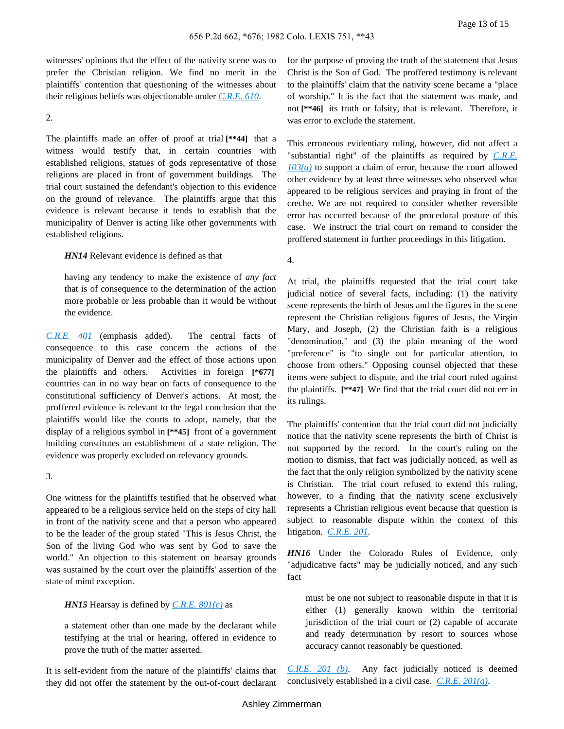witnesses' opinions that the effect of the nativity scene was to prefer the Christian religion. We find no merit in the plaintiffs' contention that questioning of the witnesses about their religious beliefs was objectionable under *[C.R.E.](http://advance.lexis.com/api/document?collection=statutes-legislation&id=urn:contentItem:5FXT-9HG0-01JM-N39P-00000-00&context=) 610*.

2.

The plaintiffs made an offer of proof at trial **[\*\*44]** that a witness would testify that, in certain countries with established religions, statues of gods representative of those religions are placed in front of government buildings. The trial court sustained the defendant's objection to this evidence on the ground of relevance. The plaintiffs argue that this evidence is relevant because it tends to establish that the municipality of Denver is acting like other governments with established religions.

*HN14* Relevant evidence is defined as that

having any tendency to make the existence of *any fact* that is of consequence to the determination of the action more probable or less probable than it would be without the evidence.

*[C.R.E.](http://advance.lexis.com/api/document?collection=statutes-legislation&id=urn:contentItem:5FXT-9HG0-01JM-N38X-00000-00&context=) 401* (emphasis added). The central facts of consequence to this case concern the actions of the municipality of Denver and the effect of those actions upon the plaintiffs and others. Activities in foreign **[\*677]** countries can in no way bear on facts of consequence to the constitutional sufficiency of Denver's actions. At most, the proffered evidence is relevant to the legal conclusion that the plaintiffs would like the courts to adopt, namely, that the display of a religious symbol in **[\*\*45]** front of a government building constitutes an establishment of a state religion. The evidence was properly excluded on relevancy grounds.

#### 3.

One witness for the plaintiffs testified that he observed what appeared to be a religious service held on the steps of city hall in front of the nativity scene and that a person who appeared to be the leader of the group stated "This is Jesus Christ, the Son of the living God who was sent by God to save the world." An objection to this statement on hearsay grounds was sustained by the court over the plaintiffs' assertion of the state of mind exception.

*HN15* Hearsay is defined by *[C.R.E.](http://advance.lexis.com/api/document?collection=statutes-legislation&id=urn:contentItem:5FXT-9HG0-01JM-N3B4-00000-00&context=) 801(c)* as

a statement other than one made by the declarant while testifying at the trial or hearing, offered in evidence to prove the truth of the matter asserted.

It is self-evident from the nature of the plaintiffs' claims that they did not offer the statement by the out-of-court declarant for the purpose of proving the truth of the statement that Jesus Christ is the Son of God. The proffered testimony is relevant to the plaintiffs' claim that the nativity scene became a "place of worship." It is the fact that the statement was made, and not **[\*\*46]** its truth or falsity, that is relevant. Therefore, it was error to exclude the statement.

This erroneous evidentiary ruling, however, did not affect a "substantial right" of the plaintiffs as required by *[C.R.E.](http://advance.lexis.com/api/document?collection=statutes-legislation&id=urn:contentItem:5FXT-9HG0-01JM-N38N-00000-00&context=) [103\(a\)](http://advance.lexis.com/api/document?collection=statutes-legislation&id=urn:contentItem:5FXT-9HG0-01JM-N38N-00000-00&context=)* to support a claim of error, because the court allowed other evidence by at least three witnesses who observed what appeared to be religious services and praying in front of the creche. We are not required to consider whether reversible error has occurred because of the procedural posture of this case. We instruct the trial court on remand to consider the proffered statement in further proceedings in this litigation.

4.

At trial, the plaintiffs requested that the trial court take judicial notice of several facts, including: (1) the nativity scene represents the birth of Jesus and the figures in the scene represent the Christian religious figures of Jesus, the Virgin Mary, and Joseph, (2) the Christian faith is a religious "denomination," and (3) the plain meaning of the word "preference" is "to single out for particular attention, to choose from others." Opposing counsel objected that these items were subject to dispute, and the trial court ruled against the plaintiffs. **[\*\*47]** We find that the trial court did not err in its rulings.

The plaintiffs' contention that the trial court did not judicially notice that the nativity scene represents the birth of Christ is not supported by the record. In the court's ruling on the motion to dismiss, that fact was judicially noticed, as well as the fact that the only religion symbolized by the nativity scene is Christian. The trial court refused to extend this ruling, however, to a finding that the nativity scene exclusively represents a Christian religious event because that question is subject to reasonable dispute within the context of this litigation. *[C.R.E.](http://advance.lexis.com/api/document?collection=statutes-legislation&id=urn:contentItem:5FXT-9HG0-01JM-N38T-00000-00&context=) 201*.

*HN16* Under the Colorado Rules of Evidence, only "adjudicative facts" may be judicially noticed, and any such fact

must be one not subject to reasonable dispute in that it is either (1) generally known within the territorial jurisdiction of the trial court or (2) capable of accurate and ready determination by resort to sources whose accuracy cannot reasonably be questioned.

*[C.R.E.](http://advance.lexis.com/api/document?collection=statutes-legislation&id=urn:contentItem:5FXT-9HG0-01JM-N38T-00000-00&context=) 201 (b)*. Any fact judicially noticed is deemed conclusively established in a civil case. *C.R.E. [201\(g\)](http://advance.lexis.com/api/document?collection=statutes-legislation&id=urn:contentItem:5FXT-9HG0-01JM-N38T-00000-00&context=)*.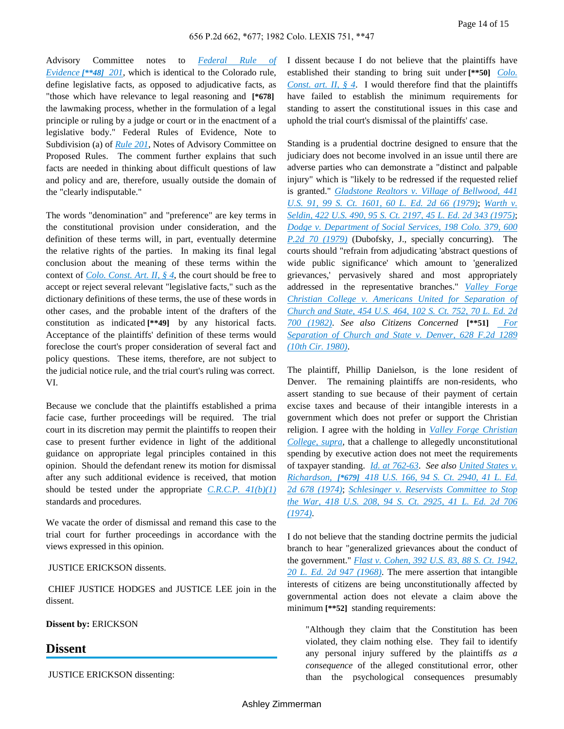Advisory Committee notes to *[Federal](http://advance.lexis.com/api/document?collection=statutes-legislation&id=urn:contentItem:4YF7-GM41-NRF4-4120-00000-00&context=) Rule of [Evidence](http://advance.lexis.com/api/document?collection=statutes-legislation&id=urn:contentItem:4YF7-GM41-NRF4-4120-00000-00&context=) [\*\*48] 201*, which is identical to the Colorado rule, define legislative facts, as opposed to adjudicative facts, as "those which have relevance to legal reasoning and **[\*678]** the lawmaking process, whether in the formulation of a legal principle or ruling by a judge or court or in the enactment of a legislative body." Federal Rules of Evidence, Note to Subdivision (a) of *[Rule](http://advance.lexis.com/api/document?collection=statutes-legislation&id=urn:contentItem:4YF7-GM41-NRF4-4120-00000-00&context=) 201*, Notes of Advisory Committee on Proposed Rules. The comment further explains that such facts are needed in thinking about difficult questions of law and policy and are, therefore, usually outside the domain of the "clearly indisputable."

The words "denomination" and "preference" are key terms in the constitutional provision under consideration, and the definition of these terms will, in part, eventually determine the relative rights of the parties. In making its final legal conclusion about the meaning of these terms within the context of *Colo. [Const.](http://advance.lexis.com/api/document?collection=statutes-legislation&id=urn:contentItem:5K2D-HNH0-004D-1006-00000-00&context=) Art. II, § 4*, the court should be free to accept or reject several relevant "legislative facts," such as the dictionary definitions of these terms, the use of these words in other cases, and the probable intent of the drafters of the constitution as indicated **[\*\*49]** by any historical facts. Acceptance of the plaintiffs' definition of these terms would foreclose the court's proper consideration of several fact and policy questions. These items, therefore, are not subject to the judicial notice rule, and the trial court's ruling was correct. VI.

Because we conclude that the plaintiffs established a prima facie case, further proceedings will be required. The trial court in its discretion may permit the plaintiffs to reopen their case to present further evidence in light of the additional guidance on appropriate legal principles contained in this opinion. Should the defendant renew its motion for dismissal after any such additional evidence is received, that motion should be tested under the appropriate *[C.R.C.P.](http://advance.lexis.com/api/document?collection=statutes-legislation&id=urn:contentItem:5FXT-9HB0-01JM-N1YJ-00000-00&context=) 41(b)(1)* standards and procedures.

We vacate the order of dismissal and remand this case to the trial court for further proceedings in accordance with the views expressed in this opinion.

#### JUSTICE ERICKSON dissents.

CHIEF JUSTICE HODGES and JUSTICE LEE join in the dissent.

#### **Dissent by:** ERICKSON

### **Dissent**

JUSTICE ERICKSON dissenting:

I dissent because I do not believe that the plaintiffs have established their standing to bring suit under **[\*\*50]** *[Colo.](http://advance.lexis.com/api/document?collection=statutes-legislation&id=urn:contentItem:5K2D-HNH0-004D-1006-00000-00&context=) [Const.](http://advance.lexis.com/api/document?collection=statutes-legislation&id=urn:contentItem:5K2D-HNH0-004D-1006-00000-00&context=) art. II, § 4*. I would therefore find that the plaintiffs have failed to establish the minimum requirements for standing to assert the constitutional issues in this case and uphold the trial court's dismissal of the plaintiffs' case.

Standing is a prudential doctrine designed to ensure that the judiciary does not become involved in an issue until there are adverse parties who can demonstrate a "distinct and palpable injury" which is "likely to be redressed if the requested relief is granted." *[Gladstone](http://advance.lexis.com/api/document?collection=cases&id=urn:contentItem:3S4X-89C0-003B-S26B-00000-00&context=) Realtors v. Village of Bellwood, 441 U.S. 91, 99 S. Ct. 1601, 60 L. Ed. 2d 66 [\(1979\)](http://advance.lexis.com/api/document?collection=cases&id=urn:contentItem:3S4X-89C0-003B-S26B-00000-00&context=)*; *[Warth](http://advance.lexis.com/api/document?collection=cases&id=urn:contentItem:3S4X-BGK0-003B-S1WN-00000-00&context=) v. [Seldin,](http://advance.lexis.com/api/document?collection=cases&id=urn:contentItem:3S4X-BGK0-003B-S1WN-00000-00&context=) 422 U.S. 490, 95 S. Ct. 2197, 45 L. Ed. 2d 343 (1975)*; *Dodge v. [Department](http://advance.lexis.com/api/document?collection=cases&id=urn:contentItem:3RX4-1DK0-003D-9249-00000-00&context=) of Social Services, 198 Colo. 379, 600 P.2d 70 [\(1979\)](http://advance.lexis.com/api/document?collection=cases&id=urn:contentItem:3RX4-1DK0-003D-9249-00000-00&context=)* (Dubofsky, J., specially concurring). The courts should "refrain from adjudicating 'abstract questions of wide public significance' which amount to 'generalized grievances,' pervasively shared and most appropriately addressed in the representative branches." *[Valley](http://advance.lexis.com/api/document?collection=cases&id=urn:contentItem:3S4X-5W90-003B-S2CD-00000-00&context=) Forge Christian College v. Americans United for [Separation](http://advance.lexis.com/api/document?collection=cases&id=urn:contentItem:3S4X-5W90-003B-S2CD-00000-00&context=) of [Church](http://advance.lexis.com/api/document?collection=cases&id=urn:contentItem:3S4X-5W90-003B-S2CD-00000-00&context=) and State, 454 U.S. 464, 102 S. Ct. 752, 70 L. Ed. 2d 700 [\(1982\)](http://advance.lexis.com/api/document?collection=cases&id=urn:contentItem:3S4X-5W90-003B-S2CD-00000-00&context=)*. *See also Citizens Concerned* **[\*\*51]** *[For](http://advance.lexis.com/api/document?collection=cases&id=urn:contentItem:3S4X-9NC0-0039-W26G-00000-00&context=) [Separation](http://advance.lexis.com/api/document?collection=cases&id=urn:contentItem:3S4X-9NC0-0039-W26G-00000-00&context=) of Church and State v. Denver, 628 F.2d 1289 (10th Cir. [1980\)](http://advance.lexis.com/api/document?collection=cases&id=urn:contentItem:3S4X-9NC0-0039-W26G-00000-00&context=)*.

The plaintiff, Phillip Danielson, is the lone resident of Denver. The remaining plaintiffs are non-residents, who assert standing to sue because of their payment of certain excise taxes and because of their intangible interests in a government which does not prefer or support the Christian religion. I agree with the holding in *Valley Forge [Christian](http://advance.lexis.com/api/document?collection=cases&id=urn:contentItem:3S4X-5W90-003B-S2CD-00000-00&context=) [College,](http://advance.lexis.com/api/document?collection=cases&id=urn:contentItem:3S4X-5W90-003B-S2CD-00000-00&context=) supra,* that a challenge to allegedly unconstitutional spending by executive action does not meet the requirements of taxpayer standing. *Id. at [762-63](http://advance.lexis.com/api/document?collection=cases&id=urn:contentItem:3S4X-5W90-003B-S2CD-00000-00&context=)*. *See also [United](http://advance.lexis.com/api/document?collection=cases&id=urn:contentItem:3RVB-1PV0-003B-S021-00000-00&context=) States v. [Richardson,](http://advance.lexis.com/api/document?collection=cases&id=urn:contentItem:3RVB-1PV0-003B-S021-00000-00&context=) [\*679] 418 U.S. 166, 94 S. Ct. 2940, 41 L. Ed. 2d 678 [\(1974\)](http://advance.lexis.com/api/document?collection=cases&id=urn:contentItem:3RVB-1PV0-003B-S021-00000-00&context=)*; *[Schlesinger](http://advance.lexis.com/api/document?collection=cases&id=urn:contentItem:3RVB-1PV0-003B-S022-00000-00&context=) v. Reservists Committee to Stop the War, 418 U.S. 208, 94 S. Ct. [2925,](http://advance.lexis.com/api/document?collection=cases&id=urn:contentItem:3RVB-1PV0-003B-S022-00000-00&context=) 41 L. Ed. 2d 706 [\(1974\)](http://advance.lexis.com/api/document?collection=cases&id=urn:contentItem:3RVB-1PV0-003B-S022-00000-00&context=)*.

I do not believe that the standing doctrine permits the judicial branch to hear "generalized grievances about the conduct of the government." *Flast v. [Cohen,](http://advance.lexis.com/api/document?collection=cases&id=urn:contentItem:3S4X-FHY0-003B-S051-00000-00&context=) 392 U.S. 83, 88 S. Ct. 1942, 20 L. Ed. 2d 947 [\(1968\)](http://advance.lexis.com/api/document?collection=cases&id=urn:contentItem:3S4X-FHY0-003B-S051-00000-00&context=)*. The mere assertion that intangible interests of citizens are being unconstitutionally affected by governmental action does not elevate a claim above the minimum **[\*\*52]** standing requirements:

"Although they claim that the Constitution has been violated, they claim nothing else. They fail to identify any personal injury suffered by the plaintiffs *as a consequence* of the alleged constitutional error, other than the psychological consequences presumably